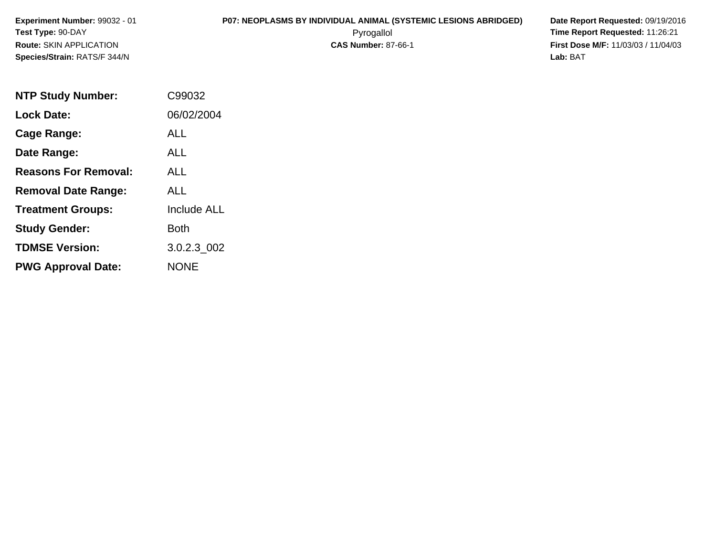# **P07: NEOPLASMS BY INDIVIDUAL ANIMAL (SYSTEMIC LESIONS ABRIDGED) Date Report Requested:** 09/19/2016

 Pyrogallol **Time Report Requested:** 11:26:21 **First Dose M/F:** 11/03/03 / 11/04/03<br>**Lab:** BAT **Lab:** BAT

| <b>NTP Study Number:</b>    | C99032             |
|-----------------------------|--------------------|
| <b>Lock Date:</b>           | 06/02/2004         |
| Cage Range:                 | ALL                |
| Date Range:                 | ALL                |
| <b>Reasons For Removal:</b> | ALL.               |
| <b>Removal Date Range:</b>  | ALL                |
| <b>Treatment Groups:</b>    | <b>Include ALL</b> |
| <b>Study Gender:</b>        | <b>Both</b>        |
| <b>TDMSE Version:</b>       | 3.0.2.3 002        |
| <b>PWG Approval Date:</b>   | <b>NONE</b>        |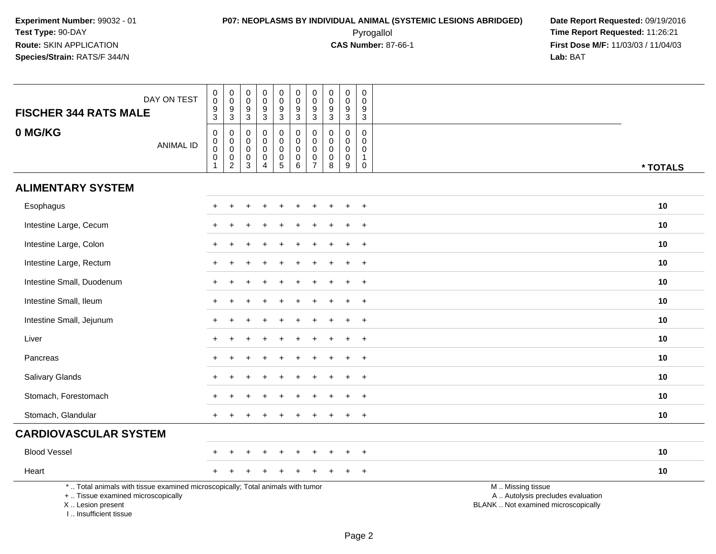| DAY ON TEST<br><b>FISCHER 344 RATS MALE</b>                                                                                                                         | $_{\rm 0}^{\rm 0}$<br>$\frac{9}{3}$                                              | $\begin{smallmatrix}0\\0\end{smallmatrix}$<br>$\overline{9}$<br>$\mathsf 3$ | $\begin{smallmatrix}0\\0\end{smallmatrix}$<br>$\overline{9}$<br>$\mathfrak{S}$ | 0<br>0<br>$\boldsymbol{9}$<br>3                        | $_{\rm 0}^{\rm 0}$<br>$\overline{9}$<br>3                         | $\pmb{0}$<br>$\mathbf 0$<br>$\boldsymbol{9}$<br>3              | $\mathbf 0$<br>$\boldsymbol{0}$<br>$9\,$<br>$\mathbf{3}$                 | $\pmb{0}$<br>$\mathbf 0$<br>$\boldsymbol{9}$<br>3 | $\pmb{0}$<br>$\mathbf 0$<br>$\boldsymbol{9}$<br>$\mathbf{3}$ | 0<br>$\Omega$<br>9<br>3                              |                                                                                               |
|---------------------------------------------------------------------------------------------------------------------------------------------------------------------|----------------------------------------------------------------------------------|-----------------------------------------------------------------------------|--------------------------------------------------------------------------------|--------------------------------------------------------|-------------------------------------------------------------------|----------------------------------------------------------------|--------------------------------------------------------------------------|---------------------------------------------------|--------------------------------------------------------------|------------------------------------------------------|-----------------------------------------------------------------------------------------------|
| 0 MG/KG<br><b>ANIMAL ID</b>                                                                                                                                         | $\mathbf 0$<br>$\mathsf{O}\xspace$<br>$\tilde{0}$<br>$\mathbf 0$<br>$\mathbf{1}$ | $\mathbf 0$<br>$\mathsf{O}\xspace$<br>$\mathsf{O}\xspace$<br>$\frac{0}{2}$  | 0<br>$\pmb{0}$<br>$\mathbf 0$<br>$\pmb{0}$<br>$\mathfrak{S}$                   | $\mathbf 0$<br>0<br>0<br>$\mathsf 0$<br>$\overline{4}$ | $\mathbf 0$<br>$\pmb{0}$<br>$\mathsf{O}\xspace$<br>$\pmb{0}$<br>5 | 0<br>$\mathbf 0$<br>$\mathbf 0$<br>$\pmb{0}$<br>$6\phantom{1}$ | $\mathbf 0$<br>$\mathbf 0$<br>$\mathbf 0$<br>$\pmb{0}$<br>$\overline{7}$ | 0<br>$\pmb{0}$<br>$\mathbf 0$<br>0<br>8           | 0<br>$\mathbf 0$<br>$\mathbf 0$<br>$\pmb{0}$<br>$9\,$        | $\mathbf 0$<br>0<br>0<br>$\mathbf{1}$<br>$\mathbf 0$ | * TOTALS                                                                                      |
| <b>ALIMENTARY SYSTEM</b>                                                                                                                                            |                                                                                  |                                                                             |                                                                                |                                                        |                                                                   |                                                                |                                                                          |                                                   |                                                              |                                                      |                                                                                               |
| Esophagus                                                                                                                                                           |                                                                                  |                                                                             |                                                                                |                                                        |                                                                   |                                                                |                                                                          |                                                   |                                                              | $\overline{1}$                                       | 10                                                                                            |
| Intestine Large, Cecum                                                                                                                                              |                                                                                  |                                                                             |                                                                                |                                                        |                                                                   |                                                                |                                                                          |                                                   |                                                              | $\overline{1}$                                       | 10                                                                                            |
| Intestine Large, Colon                                                                                                                                              |                                                                                  |                                                                             |                                                                                |                                                        |                                                                   |                                                                |                                                                          |                                                   |                                                              | $\ddot{}$                                            | 10                                                                                            |
| Intestine Large, Rectum                                                                                                                                             |                                                                                  |                                                                             |                                                                                |                                                        |                                                                   |                                                                |                                                                          |                                                   |                                                              | $\overline{1}$                                       | 10                                                                                            |
| Intestine Small, Duodenum                                                                                                                                           |                                                                                  |                                                                             |                                                                                |                                                        |                                                                   |                                                                |                                                                          |                                                   |                                                              | $\overline{1}$                                       | 10                                                                                            |
| Intestine Small, Ileum                                                                                                                                              | $\div$                                                                           |                                                                             |                                                                                |                                                        |                                                                   |                                                                |                                                                          |                                                   |                                                              | $+$                                                  | 10                                                                                            |
| Intestine Small, Jejunum                                                                                                                                            | $\ddot{}$                                                                        |                                                                             |                                                                                |                                                        |                                                                   |                                                                |                                                                          |                                                   |                                                              | $+$                                                  | 10                                                                                            |
| Liver                                                                                                                                                               |                                                                                  |                                                                             |                                                                                |                                                        |                                                                   |                                                                |                                                                          |                                                   |                                                              | $\overline{ }$                                       | 10                                                                                            |
| Pancreas                                                                                                                                                            |                                                                                  |                                                                             |                                                                                |                                                        |                                                                   |                                                                |                                                                          |                                                   |                                                              | $\overline{+}$                                       | 10                                                                                            |
| Salivary Glands                                                                                                                                                     | $\div$                                                                           |                                                                             |                                                                                |                                                        |                                                                   |                                                                |                                                                          |                                                   |                                                              | $+$                                                  | 10                                                                                            |
| Stomach, Forestomach                                                                                                                                                |                                                                                  |                                                                             |                                                                                |                                                        |                                                                   |                                                                |                                                                          |                                                   |                                                              | $\overline{1}$                                       | 10                                                                                            |
| Stomach, Glandular                                                                                                                                                  |                                                                                  |                                                                             |                                                                                |                                                        |                                                                   |                                                                |                                                                          |                                                   |                                                              | $\ddot{}$                                            | 10                                                                                            |
| <b>CARDIOVASCULAR SYSTEM</b>                                                                                                                                        |                                                                                  |                                                                             |                                                                                |                                                        |                                                                   |                                                                |                                                                          |                                                   |                                                              |                                                      |                                                                                               |
| <b>Blood Vessel</b>                                                                                                                                                 |                                                                                  |                                                                             |                                                                                |                                                        |                                                                   |                                                                |                                                                          |                                                   |                                                              | $\ddot{}$                                            | 10                                                                                            |
| Heart                                                                                                                                                               |                                                                                  |                                                                             |                                                                                |                                                        |                                                                   |                                                                |                                                                          |                                                   |                                                              | $\ddot{}$                                            | 10                                                                                            |
| *  Total animals with tissue examined microscopically; Total animals with tumor<br>+  Tissue examined microscopically<br>X  Lesion present<br>I Insufficient tissue |                                                                                  |                                                                             |                                                                                |                                                        |                                                                   |                                                                |                                                                          |                                                   |                                                              |                                                      | M  Missing tissue<br>A  Autolysis precludes evaluation<br>BLANK  Not examined microscopically |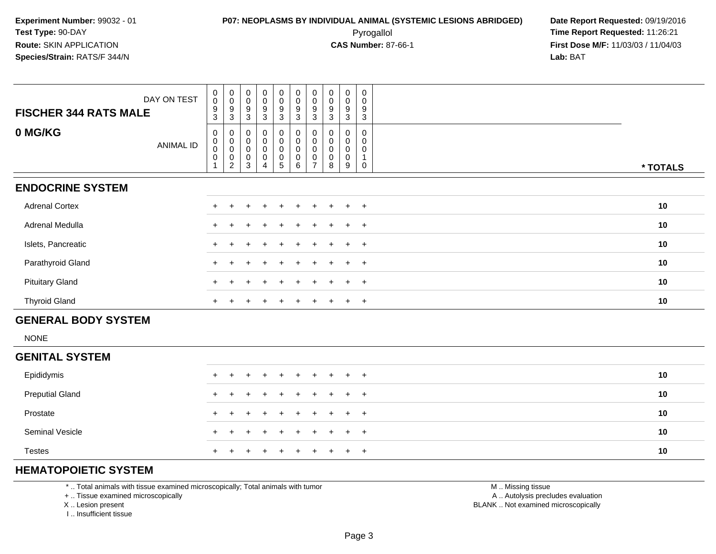**First Dose M/F:** 11/03/03 / 11/04/03<br>**Lab:** BAT **Lab:** BAT

| DAY ON TEST<br><b>FISCHER 344 RATS MALE</b> | 0<br>$\pmb{0}$<br>9<br>3                                 | $_{0}^{0}$<br>$\boldsymbol{9}$<br>3                               | $_{\rm 0}^{\rm 0}$<br>9<br>3          | $_{\rm 0}^{\rm 0}$<br>$^9_3$        | $_{\rm 0}^{\rm 0}$<br>$^9_3$                           | $\begin{array}{c} 0 \\ 0 \\ 9 \\ 3 \end{array}$                       | $\begin{smallmatrix} 0\\0 \end{smallmatrix}$<br>$^9_3$ | $_{\rm 0}^{\rm 0}$<br>9<br>3  | $_{\rm 0}^{\rm 0}$<br>9<br>3  | $\mathbf 0$<br>0<br>9<br>3 |          |  |
|---------------------------------------------|----------------------------------------------------------|-------------------------------------------------------------------|---------------------------------------|-------------------------------------|--------------------------------------------------------|-----------------------------------------------------------------------|--------------------------------------------------------|-------------------------------|-------------------------------|----------------------------|----------|--|
| 0 MG/KG<br>ANIMAL ID                        | 0<br>$\pmb{0}$<br>$\pmb{0}$<br>$\pmb{0}$<br>$\mathbf{1}$ | 0<br>$\pmb{0}$<br>$\pmb{0}$<br>$\boldsymbol{0}$<br>$\overline{c}$ | 0<br>$\pmb{0}$<br>$\pmb{0}$<br>0<br>3 | 0<br>$\pmb{0}$<br>$\,0\,$<br>0<br>4 | $_{\rm 0}^{\rm 0}$<br>0<br>$\pmb{0}$<br>$\overline{5}$ | $\begin{smallmatrix}0\\0\\0\end{smallmatrix}$<br>$\pmb{0}$<br>$\,6\,$ | 0<br>$\pmb{0}$<br>$\pmb{0}$<br>0<br>$\overline{7}$     | 0<br>$\pmb{0}$<br>0<br>0<br>8 | 0<br>0<br>$\pmb{0}$<br>0<br>9 | 0<br>0<br>0<br>0           | * TOTALS |  |
| <b>ENDOCRINE SYSTEM</b>                     |                                                          |                                                                   |                                       |                                     |                                                        |                                                                       |                                                        |                               |                               |                            |          |  |
| <b>Adrenal Cortex</b>                       |                                                          |                                                                   |                                       |                                     |                                                        |                                                                       |                                                        |                               |                               | $^{+}$                     | 10       |  |
| Adrenal Medulla                             |                                                          |                                                                   |                                       |                                     | $\div$                                                 | $+$                                                                   | $\pm$                                                  | $\pm$                         | $+$                           | $+$                        | 10       |  |
| Islets, Pancreatic                          | $\ddot{}$                                                |                                                                   |                                       |                                     |                                                        |                                                                       |                                                        |                               |                               | $+$                        | 10       |  |
| Parathyroid Gland                           | $\div$                                                   |                                                                   |                                       |                                     | $\div$                                                 |                                                                       |                                                        |                               |                               | $+$                        | 10       |  |
| <b>Pituitary Gland</b>                      |                                                          |                                                                   |                                       |                                     | $\div$                                                 | $\pm$                                                                 | $\pm$                                                  | $\pm$                         |                               | $+$ $+$                    | 10       |  |
| <b>Thyroid Gland</b>                        | $+$                                                      | $\pm$                                                             |                                       | $\pm$                               | $\ddot{}$                                              | $\overline{+}$                                                        | $+$                                                    | $+$                           |                               | $+$ $+$                    | 10       |  |
| <b>GENERAL BODY SYSTEM</b>                  |                                                          |                                                                   |                                       |                                     |                                                        |                                                                       |                                                        |                               |                               |                            |          |  |
| <b>NONE</b>                                 |                                                          |                                                                   |                                       |                                     |                                                        |                                                                       |                                                        |                               |                               |                            |          |  |
| CENITAL CVCTEM                              |                                                          |                                                                   |                                       |                                     |                                                        |                                                                       |                                                        |                               |                               |                            |          |  |

| <b>GENITAL SYSTEM</b>  |                     |    |
|------------------------|---------------------|----|
| Epididymis             | + + + + + + + + + + | 10 |
| <b>Preputial Gland</b> | + + + + + + + + + + | 10 |
| Prostate               | + + + + + + + + + + | 10 |
| Seminal Vesicle        | + + + + + + + + + + | 10 |
| <b>Testes</b>          | + + + + + + + + + + | 10 |

## **HEMATOPOIETIC SYSTEM**

\* .. Total animals with tissue examined microscopically; Total animals with tumor

+ .. Tissue examined microscopically

X .. Lesion present

I .. Insufficient tissue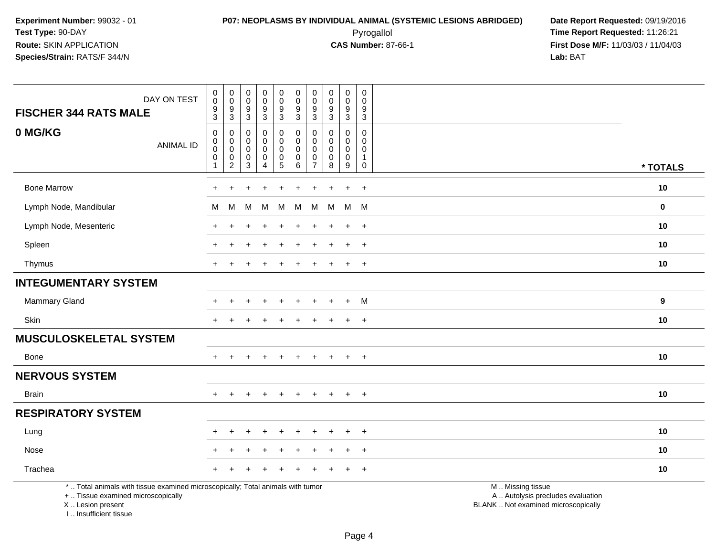## **P07: NEOPLASMS BY INDIVIDUAL ANIMAL (SYSTEMIC LESIONS ABRIDGED) Date Report Requested:** 09/19/2016 Pyrogallol **Time Report Requested:** 11:26:21

**First Dose M/F:** 11/03/03 / 11/04/03<br>**Lab:** BAT **Lab:** BAT

| DAY ON TEST<br><b>FISCHER 344 RATS MALE</b>                                                                                                | $\pmb{0}$<br>$\mathbf 0$<br>9<br>$\overline{3}$      | $\pmb{0}$<br>$\mathbf 0$<br>$\boldsymbol{9}$<br>$\overline{3}$ | $\pmb{0}$<br>$\mathsf{O}\xspace$<br>$\overline{9}$<br>$\overline{3}$ | $_{\rm 0}^{\rm 0}$<br>$\boldsymbol{9}$<br>$\overline{3}$ | $\boldsymbol{0}$<br>$\mathsf{O}\xspace$<br>$\overline{9}$<br>$\overline{3}$ | $\pmb{0}$<br>$\pmb{0}$<br>$9\,$<br>$\overline{3}$       | $\pmb{0}$<br>$\mathbf 0$<br>9<br>$\sqrt{3}$          | $\mathsf{O}\xspace$<br>$\mathbf 0$<br>9<br>$\mathfrak{Z}$ | $\pmb{0}$<br>$\mathbf 0$<br>$\boldsymbol{9}$<br>$\overline{3}$ | $\mathbf 0$<br>$\mathbf 0$<br>9<br>$\overline{3}$                         |                                                                                               |             |
|--------------------------------------------------------------------------------------------------------------------------------------------|------------------------------------------------------|----------------------------------------------------------------|----------------------------------------------------------------------|----------------------------------------------------------|-----------------------------------------------------------------------------|---------------------------------------------------------|------------------------------------------------------|-----------------------------------------------------------|----------------------------------------------------------------|---------------------------------------------------------------------------|-----------------------------------------------------------------------------------------------|-------------|
| 0 MG/KG<br><b>ANIMAL ID</b>                                                                                                                | $\mathbf 0$<br>$\mathbf 0$<br>0<br>0<br>$\mathbf{1}$ | $\mathbf 0$<br>0<br>$\mathbf 0$<br>$\pmb{0}$<br>$\overline{c}$ | $\mathbf 0$<br>0<br>$\mathbf 0$<br>$\pmb{0}$<br>3                    | 0<br>0<br>0<br>$\pmb{0}$<br>$\overline{4}$               | 0<br>$\mathbf 0$<br>0<br>$\pmb{0}$<br>$\overline{5}$                        | $\mathbf 0$<br>$\mathbf 0$<br>0<br>$\pmb{0}$<br>$\,6\,$ | 0<br>$\mathbf{0}$<br>$\Omega$<br>0<br>$\overline{7}$ | $\Omega$<br>$\Omega$<br>$\Omega$<br>0<br>8                | 0<br>0<br>0<br>$\mathbf 0$<br>9                                | $\mathbf 0$<br>$\mathbf{0}$<br>$\mathbf 0$<br>$\mathbf{1}$<br>$\mathbf 0$ |                                                                                               | * TOTALS    |
| <b>Bone Marrow</b>                                                                                                                         | $\ddot{}$                                            | ÷                                                              |                                                                      |                                                          | ٠                                                                           |                                                         | +                                                    |                                                           | $\ddot{}$                                                      | $+$                                                                       |                                                                                               | 10          |
| Lymph Node, Mandibular                                                                                                                     | м                                                    | M                                                              | м                                                                    | M                                                        | M                                                                           | м                                                       | M                                                    | М                                                         | M                                                              | M                                                                         |                                                                                               | $\mathbf 0$ |
| Lymph Node, Mesenteric                                                                                                                     | $\div$                                               |                                                                |                                                                      |                                                          |                                                                             |                                                         |                                                      |                                                           | $\ddot{}$                                                      | $\ddot{}$                                                                 |                                                                                               | 10          |
| Spleen                                                                                                                                     |                                                      |                                                                |                                                                      |                                                          |                                                                             |                                                         |                                                      |                                                           | $\div$                                                         | $\overline{+}$                                                            |                                                                                               | 10          |
| Thymus                                                                                                                                     | $+$                                                  |                                                                |                                                                      |                                                          |                                                                             |                                                         |                                                      |                                                           | $\ddot{}$                                                      | $+$                                                                       |                                                                                               | 10          |
| <b>INTEGUMENTARY SYSTEM</b>                                                                                                                |                                                      |                                                                |                                                                      |                                                          |                                                                             |                                                         |                                                      |                                                           |                                                                |                                                                           |                                                                                               |             |
| Mammary Gland                                                                                                                              |                                                      |                                                                |                                                                      |                                                          |                                                                             |                                                         |                                                      |                                                           | $\ddot{}$                                                      | M                                                                         |                                                                                               | 9           |
| Skin                                                                                                                                       | $+$                                                  | $\div$                                                         |                                                                      |                                                          |                                                                             |                                                         |                                                      |                                                           | $\ddot{}$                                                      | $+$                                                                       |                                                                                               | 10          |
| <b>MUSCULOSKELETAL SYSTEM</b>                                                                                                              |                                                      |                                                                |                                                                      |                                                          |                                                                             |                                                         |                                                      |                                                           |                                                                |                                                                           |                                                                                               |             |
| Bone                                                                                                                                       |                                                      |                                                                |                                                                      |                                                          |                                                                             |                                                         |                                                      |                                                           |                                                                | $\overline{+}$                                                            |                                                                                               | 10          |
| <b>NERVOUS SYSTEM</b>                                                                                                                      |                                                      |                                                                |                                                                      |                                                          |                                                                             |                                                         |                                                      |                                                           |                                                                |                                                                           |                                                                                               |             |
| <b>Brain</b>                                                                                                                               | $+$                                                  | $+$                                                            | $\ddot{}$                                                            | $+$                                                      | $+$                                                                         | $+$                                                     | $\ddot{}$                                            | $\pm$                                                     | $+$                                                            | $+$                                                                       |                                                                                               | 10          |
| <b>RESPIRATORY SYSTEM</b>                                                                                                                  |                                                      |                                                                |                                                                      |                                                          |                                                                             |                                                         |                                                      |                                                           |                                                                |                                                                           |                                                                                               |             |
| Lung                                                                                                                                       |                                                      |                                                                |                                                                      |                                                          |                                                                             |                                                         |                                                      |                                                           |                                                                | $\overline{+}$                                                            |                                                                                               | 10          |
| Nose                                                                                                                                       |                                                      |                                                                |                                                                      |                                                          |                                                                             |                                                         |                                                      |                                                           | $\div$                                                         | $^{+}$                                                                    |                                                                                               | 10          |
| Trachea                                                                                                                                    |                                                      |                                                                |                                                                      |                                                          |                                                                             |                                                         |                                                      |                                                           |                                                                | $\ddot{}$                                                                 |                                                                                               | 10          |
| *  Total animals with tissue examined microscopically; Total animals with tumor<br>+  Tissue examined microscopically<br>X  Lesion present |                                                      |                                                                |                                                                      |                                                          |                                                                             |                                                         |                                                      |                                                           |                                                                |                                                                           | M  Missing tissue<br>A  Autolysis precludes evaluation<br>BLANK  Not examined microscopically |             |

I .. Insufficient tissue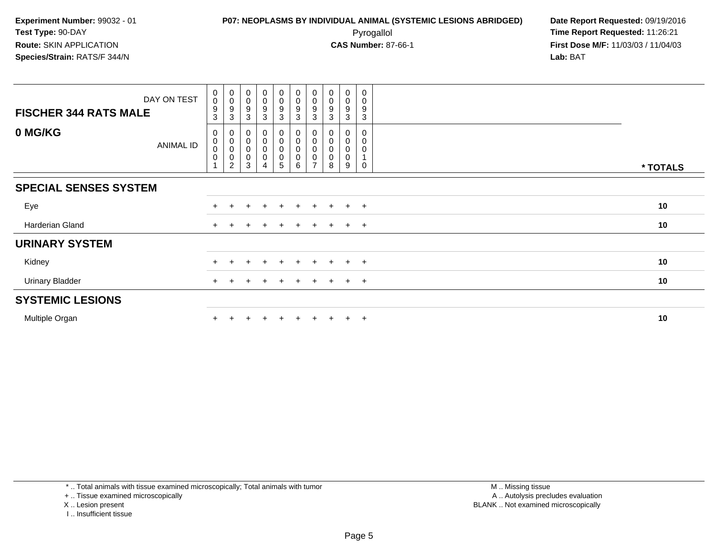**First Dose M/F:** 11/03/03 / 11/04/03<br>**Lab:** BAT **Lab:** BAT

| DAY ON TEST<br><b>FISCHER 344 RATS MALE</b> | $\begin{smallmatrix} 0\\0 \end{smallmatrix}$<br>9<br>3 | $\begin{smallmatrix}0\\0\\9\end{smallmatrix}$<br>$\mathbf{3}$          | $_{\rm 0}^{\rm 0}$<br>9<br>3                  | $\begin{smallmatrix} 0\\0 \end{smallmatrix}$<br>$\boldsymbol{9}$<br>3 | $\begin{smallmatrix}0\0\0\9\end{smallmatrix}$<br>$\mathbf{3}$ | $_{\rm 0}^{\rm 0}$<br>$\overline{9}$<br>$\mathbf{3}$ | $\begin{smallmatrix}0\0\0\9\end{smallmatrix}$<br>3         | $_{\rm 0}^{\rm 0}$<br>9<br>3 | $\pmb{0}$<br>$\pmb{0}$<br>9<br>3 | 0<br>0<br>9<br>3 |          |  |
|---------------------------------------------|--------------------------------------------------------|------------------------------------------------------------------------|-----------------------------------------------|-----------------------------------------------------------------------|---------------------------------------------------------------|------------------------------------------------------|------------------------------------------------------------|------------------------------|----------------------------------|------------------|----------|--|
| 0 MG/KG<br>ANIMAL ID                        | 0<br>$_{\rm 0}^{\rm 0}$<br>$\pmb{0}$                   | 0<br>$\pmb{0}$<br>$\mathsf{O}\xspace$<br>$\mathbf 0$<br>$\overline{c}$ | 0<br>$\pmb{0}$<br>$\pmb{0}$<br>$\pmb{0}$<br>3 | 0<br>$\mathbf 0$<br>$\mathbf 0$<br>$\pmb{0}$                          | 0<br>$\pmb{0}$<br>$\pmb{0}$<br>$\pmb{0}$<br>5                 | 0<br>0<br>0<br>0<br>6                                | 0<br>$\pmb{0}$<br>$\pmb{0}$<br>$\pmb{0}$<br>$\overline{ }$ | 0<br>0<br>0<br>8             | 0<br>0<br>0<br>0<br>9            | 0<br>0<br>0<br>0 | * TOTALS |  |
| <b>SPECIAL SENSES SYSTEM</b>                |                                                        |                                                                        |                                               |                                                                       |                                                               |                                                      |                                                            |                              |                                  |                  |          |  |
| Eye                                         |                                                        |                                                                        |                                               |                                                                       |                                                               | $+$                                                  |                                                            |                              |                                  | $+$              | 10       |  |
| Harderian Gland                             |                                                        |                                                                        |                                               |                                                                       | $\pm$                                                         | $+$                                                  | $+$                                                        | $\pm$                        | $+$ $+$                          |                  | 10       |  |
| <b>URINARY SYSTEM</b>                       |                                                        |                                                                        |                                               |                                                                       |                                                               |                                                      |                                                            |                              |                                  |                  |          |  |
| Kidney                                      |                                                        |                                                                        |                                               |                                                                       | $\pm$                                                         | $\pm$                                                |                                                            |                              | $+$                              | $+$              | 10       |  |
| <b>Urinary Bladder</b>                      |                                                        |                                                                        |                                               |                                                                       | $\ddot{}$                                                     | $+$                                                  | $+$                                                        | $\pm$                        | $+$ $+$                          |                  | 10       |  |
| <b>SYSTEMIC LESIONS</b>                     |                                                        |                                                                        |                                               |                                                                       |                                                               |                                                      |                                                            |                              |                                  |                  |          |  |
| Multiple Organ                              |                                                        |                                                                        |                                               |                                                                       |                                                               | $+$                                                  | $+$                                                        |                              | $+$ $+$                          |                  | 10       |  |

\* .. Total animals with tissue examined microscopically; Total animals with tumor

+ .. Tissue examined microscopically

X .. Lesion present

I .. Insufficient tissue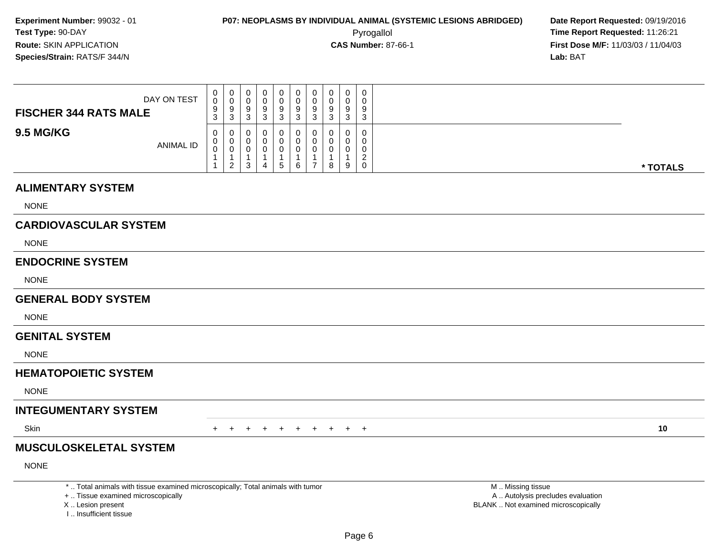Pyrogallol **Time Report Requested:** 11:26:21 **First Dose M/F:** 11/03/03 / 11/04/03<br>**Lab:** BAT **Lab:** BAT

| DAY ON TEST<br><b>FISCHER 344 RATS MALE</b> |
|---------------------------------------------|
| <b>9.5 MG/KG</b><br><b>ANIMAL ID</b>        |

#### **ALIMENTARY SYSTEM**

NONE

## **CARDIOVASCULAR SYSTEM**

NONE

#### **ENDOCRINE SYSTEM**

NONE

#### **GENERAL BODY SYSTEM**

NONE

#### **GENITAL SYSTEM**

NONE

## **HEMATOPOIETIC SYSTEM**

NONE

#### **INTEGUMENTARY SYSTEM**

**Skin** n  $+$ 

<sup>+</sup> <sup>+</sup> <sup>+</sup> <sup>+</sup> <sup>+</sup> <sup>+</sup> <sup>+</sup> <sup>+</sup> <sup>+</sup> **<sup>10</sup>**

## **MUSCULOSKELETAL SYSTEM**

NONE

\* .. Total animals with tissue examined microscopically; Total animals with tumor

+ .. Tissue examined microscopically

X .. Lesion present

I .. Insufficient tissue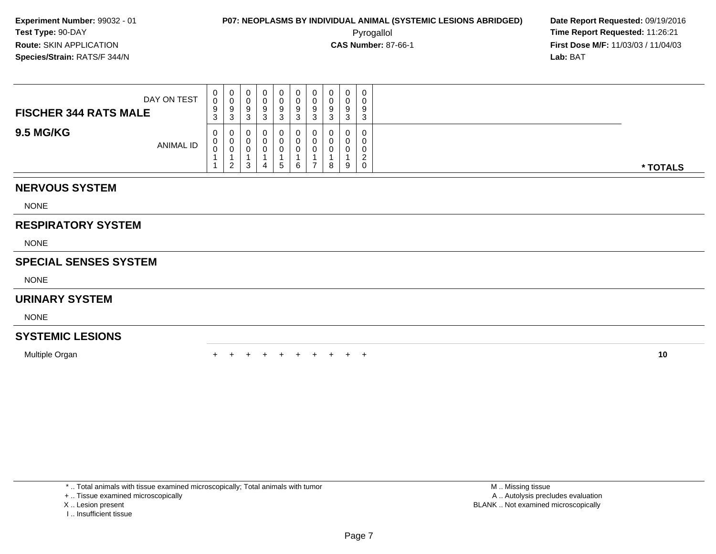**First Dose M/F:** 11/03/03 / 11/04/03<br>**Lab:** BAT **Lab:** BAT

| DAY ON TEST<br><b>FISCHER 344 RATS MALE</b> | $\mathbf{0}$<br>$\mathsf{O}\xspace$<br>9 | 0<br>0<br>9      | 0<br>9          | 9 | 9 | 0<br>U<br>9      | 0<br>$\mathbf{0}$<br>9      | 0<br>U<br>9 | 0<br>0<br>9      | 0<br>$\sim$<br>9          |          |
|---------------------------------------------|------------------------------------------|------------------|-----------------|---|---|------------------|-----------------------------|-------------|------------------|---------------------------|----------|
|                                             | 3                                        | 3                | $\sqrt{2}$<br>đ |   | 3 | 3                | 3                           | 3           | 3                | 3                         |          |
| <b>9.5 MG/KG</b><br>ANIMAL ID               | $\mathbf{0}$<br>0<br>$\mathbf 0$         | 0<br>U<br>U<br>2 | ∪<br>3          | 4 | 5 | 0<br>υ<br>υ<br>6 | 0<br>$\mathbf{0}$<br>0<br>⇁ | 0<br>8      | 0<br>0<br>0<br>9 | $\sim$<br>$\sqrt{2}$<br>0 | * TOTALS |
| <b>NERVOUS SYSTEM</b>                       |                                          |                  |                 |   |   |                  |                             |             |                  |                           |          |
| <b>NONE</b>                                 |                                          |                  |                 |   |   |                  |                             |             |                  |                           |          |

### **RESPIRATORY SYSTEM**

NONE

### **SPECIAL SENSES SYSTEM**

NONE

#### **URINARY SYSTEM**

NONE

## **SYSTEMIC LESIONS**

Multiple Organn  $+$ 

<sup>+</sup> <sup>+</sup> <sup>+</sup> <sup>+</sup> <sup>+</sup> <sup>+</sup> <sup>+</sup> <sup>+</sup> <sup>+</sup> **<sup>10</sup>**

\* .. Total animals with tissue examined microscopically; Total animals with tumor

+ .. Tissue examined microscopically

X .. Lesion present

I .. Insufficient tissue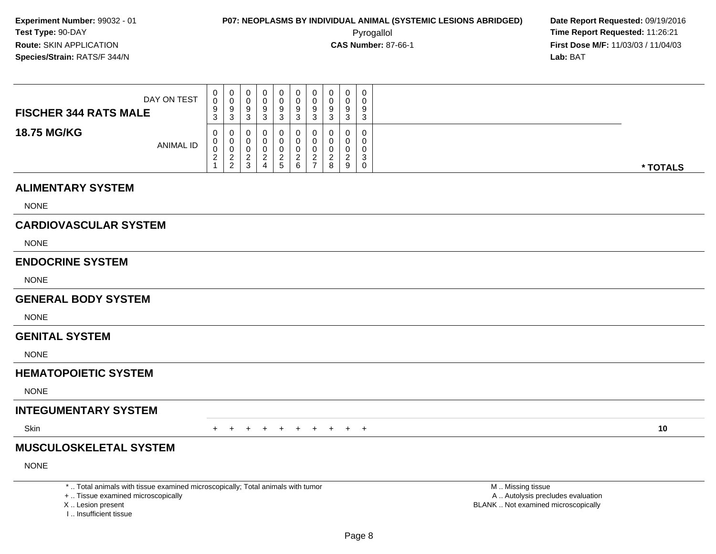Pyrogallol **Time Report Requested:** 11:26:21 **First Dose M/F:** 11/03/03 / 11/04/03<br>**Lab:** BAT **Lab:** BAT

| DAY ON TEST<br><b>FISCHER 344 RATS MALE</b> | U<br>0<br>9<br>3      | 0<br>U<br>9<br>3             | U<br>У           | 0<br>a<br>⌒<br>J | v<br>a | υ<br>9<br>J             | 0<br>0<br>9<br>ົ<br>ູບ           | 0<br>0<br>9<br>3      | 0<br>Ω<br>$\sim$<br>ັ |          |
|---------------------------------------------|-----------------------|------------------------------|------------------|------------------|--------|-------------------------|----------------------------------|-----------------------|-----------------------|----------|
| <b>18.75 MG/KG</b><br>ANIMAL ID             | 0<br>U<br>v<br>◠<br>∠ | 0<br>0<br>0<br>ົ<br><u>_</u> | ◡<br>◡<br>ັ<br>3 | 0<br>0<br>0<br>ີ | ▃<br>6 | U<br>υ<br><u>_</u><br>- | 0<br>0<br>0<br><sup>o</sup><br>8 | 0<br>0<br>0<br>ົ<br>9 | -0<br>$\sim$          | * TOTALS |

#### **ALIMENTARY SYSTEM**

NONE

## **CARDIOVASCULAR SYSTEM**

NONE

#### **ENDOCRINE SYSTEM**

NONE

#### **GENERAL BODY SYSTEM**

NONE

#### **GENITAL SYSTEM**

NONE

## **HEMATOPOIETIC SYSTEM**

NONE

## **INTEGUMENTARY SYSTEM**

**Skin** n  $+$ 

<sup>+</sup> <sup>+</sup> <sup>+</sup> <sup>+</sup> <sup>+</sup> <sup>+</sup> <sup>+</sup> <sup>+</sup> <sup>+</sup> **<sup>10</sup>**

## **MUSCULOSKELETAL SYSTEM**

NONE

\* .. Total animals with tissue examined microscopically; Total animals with tumor

+ .. Tissue examined microscopically

X .. Lesion present

I .. Insufficient tissue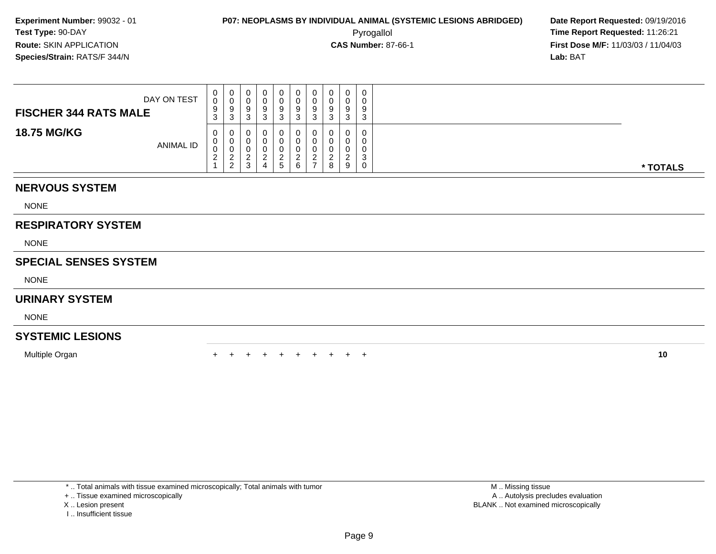Pyrogallol **Time Report Requested:** 11:26:21 **First Dose M/F:** 11/03/03 / 11/04/03<br>**Lab:** BAT **Lab:** BAT

| DAY ON TEST<br><b>FISCHER 344 RATS MALE</b> | 0<br>0<br>9<br>3             | U<br>9<br>ົ<br>◡ |  | 0<br>U<br>9<br>3 | 0<br>0<br>9<br>ົ<br><b>ت</b> | 0<br>υ<br>9<br>3             | 9<br>◠<br>J | $\Omega$<br>$\Omega$<br>◠ | 0<br>0<br>9<br>3                     |          |
|---------------------------------------------|------------------------------|------------------|--|------------------|------------------------------|------------------------------|-------------|---------------------------|--------------------------------------|----------|
| <b>18.75 MG/KG</b><br>ANIMAL ID             | 0<br>U<br>◡<br>ົ<br><u>_</u> | ◡<br>ν<br>ົ<br>ົ |  | O.<br>ີ<br>5     | 0<br>ົ<br>6                  | U<br>υ<br>ົ<br>$\rightarrow$ | 8           | 9                         | $\mathbf 0$<br>0<br>0<br>◠<br>J<br>0 | * TOTALS |

## **NERVOUS SYSTEM**

NONE

## **RESPIRATORY SYSTEM**

NONE

## **SPECIAL SENSES SYSTEM**

NONE

#### **URINARY SYSTEM**

NONE

## **SYSTEMIC LESIONS**

Multiple Organn  $+$ 

<sup>+</sup> <sup>+</sup> <sup>+</sup> <sup>+</sup> <sup>+</sup> <sup>+</sup> <sup>+</sup> <sup>+</sup> <sup>+</sup> **<sup>10</sup>**

\* .. Total animals with tissue examined microscopically; Total animals with tumor

+ .. Tissue examined microscopically

- X .. Lesion present
- I .. Insufficient tissue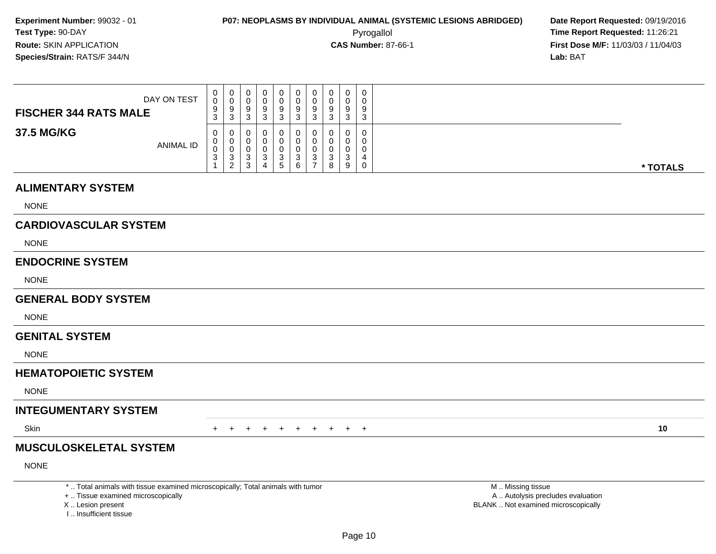Pyrogallol **Time Report Requested:** 11:26:21 **First Dose M/F:** 11/03/03 / 11/04/03<br>**Lab:** BAT **Lab:** BAT

| DAY ON TEST<br><b>FISCHER 344 RATS MALE</b> | $\mathbf{0}$<br>0<br>9<br>3                   | 0<br>U<br>9<br>3      | v           | 0<br>v<br>9<br>u      | v<br>9 | U<br>З | 0<br>0<br>9<br>n<br>ບ      | 0      | 0<br>د |          |
|---------------------------------------------|-----------------------------------------------|-----------------------|-------------|-----------------------|--------|--------|----------------------------|--------|--------|----------|
| 37.5 MG/KG<br><b>ANIMAL ID</b>              | $\mathbf{0}$<br>$\mathbf{0}$<br>0<br>ົ<br>- ၁ | 0<br>0<br>U<br>3<br>C | ີ<br>◠<br>ີ | 0<br>v<br>υ<br>ບ<br>G | Ü<br>6 | 3<br>- | 0<br>0<br>0<br>ົ<br>ບ<br>8 | 0<br>9 | 0<br>0 | * TOTALS |

#### **ALIMENTARY SYSTEM**

NONE

## **CARDIOVASCULAR SYSTEM**

NONE

#### **ENDOCRINE SYSTEM**

NONE

#### **GENERAL BODY SYSTEM**

NONE

#### **GENITAL SYSTEM**

NONE

#### **HEMATOPOIETIC SYSTEM**

NONE

## **INTEGUMENTARY SYSTEM**

**Skin** n  $+$ 

<sup>+</sup> <sup>+</sup> <sup>+</sup> <sup>+</sup> <sup>+</sup> <sup>+</sup> <sup>+</sup> <sup>+</sup> <sup>+</sup> **<sup>10</sup>**

## **MUSCULOSKELETAL SYSTEM**

NONE

\* .. Total animals with tissue examined microscopically; Total animals with tumor

+ .. Tissue examined microscopically

X .. Lesion present

I .. Insufficient tissue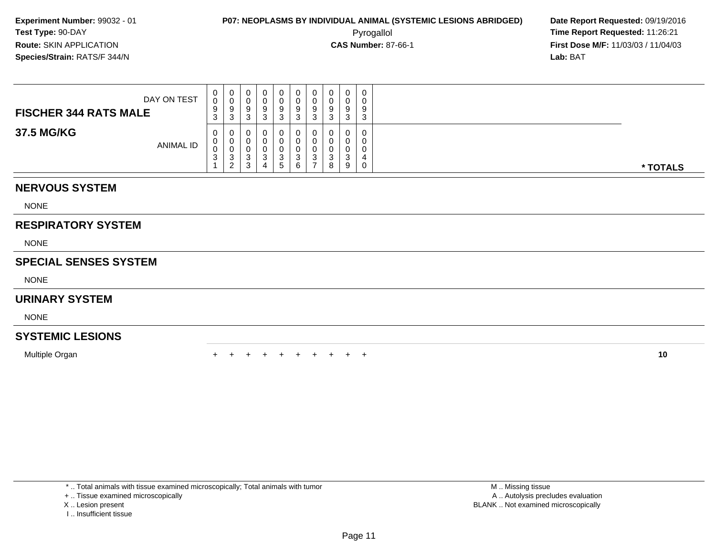**First Dose M/F:** 11/03/03 / 11/04/03<br>**Lab:** BAT **Lab:** BAT

| DAY ON TEST<br><b>FISCHER 344 RATS MALE</b> | 0<br>0<br>9<br>$\mathbf{\Omega}$<br>J. | ັບ     | U<br>a<br>J. | g<br>J | 0<br>O<br>9<br>-3          | U<br>v<br>a<br>ັ | 0<br>U<br>9<br>3 | 9<br>ີ | 0<br>-3       | 0<br>0<br>9<br>3 |
|---------------------------------------------|----------------------------------------|--------|--------------|--------|----------------------------|------------------|------------------|--------|---------------|------------------|
| 37.5 MG/KG<br><b>ANIMAL ID</b>              | 0<br>0<br>0<br>ົ<br>ູບ                 | J<br>∼ | د<br>د       |        | 0<br>O<br>3<br>$5^{\circ}$ | ົ                | 0<br>0<br>v<br>3 |        | $\Omega$<br>9 | 0<br>0<br>0<br>0 |

## **NERVOUS SYSTEM**

NONE

## **RESPIRATORY SYSTEM**

NONE

## **SPECIAL SENSES SYSTEM**

NONE

#### **URINARY SYSTEM**

NONE

## **SYSTEMIC LESIONS**

Multiple Organn  $+$ 

<sup>+</sup> <sup>+</sup> <sup>+</sup> <sup>+</sup> <sup>+</sup> <sup>+</sup> <sup>+</sup> <sup>+</sup> <sup>+</sup> **<sup>10</sup>**

\* .. Total animals with tissue examined microscopically; Total animals with tumor

+ .. Tissue examined microscopically

X .. Lesion present

I .. Insufficient tissue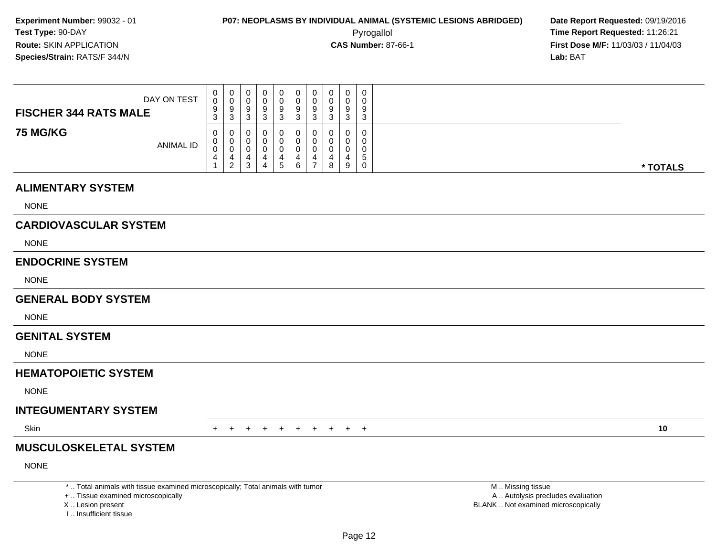Pyrogallol **Time Report Requested:** 11:26:21 **First Dose M/F:** 11/03/03 / 11/04/03<br>**Lab:** BAT **Lab:** BAT

| DAY ON TEST                         | 0<br>0<br>9      | 0<br>9                            | 0<br>U<br>9           |        | υ<br>9 | 0<br>9 | v | 0<br>a           | ◡           |          |
|-------------------------------------|------------------|-----------------------------------|-----------------------|--------|--------|--------|---|------------------|-------------|----------|
| <b>FISCHER 344 RATS MALE</b>        | ◠<br>ত           | -3                                | ◠<br>◡                |        |        |        |   | ົ<br>ں           |             |          |
| <b>75 MG/KG</b><br><b>ANIMAL ID</b> | 0<br>v<br>J<br>4 | U<br>U<br>U<br>4<br>ົ<br><u>_</u> | 0<br>0<br>0<br>⌒<br>ت | -<br>5 |        |        | 8 | 0<br>0<br>0<br>9 | $\cap$<br>G | * TOTALS |

#### **ALIMENTARY SYSTEM**

NONE

## **CARDIOVASCULAR SYSTEM**

NONE

#### **ENDOCRINE SYSTEM**

NONE

#### **GENERAL BODY SYSTEM**

NONE

#### **GENITAL SYSTEM**

NONE

#### **HEMATOPOIETIC SYSTEM**

NONE

#### **INTEGUMENTARY SYSTEM**

**Skin** n  $+$ 

<sup>+</sup> <sup>+</sup> <sup>+</sup> <sup>+</sup> <sup>+</sup> <sup>+</sup> <sup>+</sup> <sup>+</sup> <sup>+</sup> **<sup>10</sup>**

## **MUSCULOSKELETAL SYSTEM**

NONE

\* .. Total animals with tissue examined microscopically; Total animals with tumor

+ .. Tissue examined microscopically

X .. Lesion present

I .. Insufficient tissue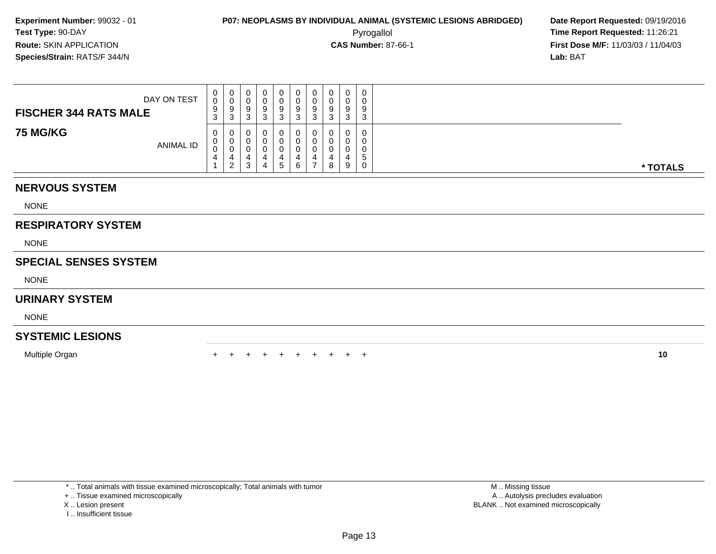**First Dose M/F:** 11/03/03 / 11/04/03<br>**Lab:** BAT **Lab:** BAT

| DAY ON TEST<br><b>FISCHER 344 RATS MALE</b> | 0<br>0<br>9<br>3 | У<br>w | ◡<br>ັ<br>ັ<br>د | 0<br>O<br>9<br>3    | U<br>v<br>◡<br>ັ | 0<br>υ<br>9<br>3 |        | 0<br>-3 | 0<br>0<br>9<br>3      |          |
|---------------------------------------------|------------------|--------|------------------|---------------------|------------------|------------------|--------|---------|-----------------------|----------|
| <b>75 MG/KG</b><br><b>ANIMAL ID</b>         | 0<br>0<br>0<br>4 | 4      | د                | 0<br>0<br>4<br>. ჯე | д.<br>6          | 0<br>0<br>υ      | ≖<br>8 | 9       | 0<br>0<br>0<br>đ<br>0 | * TOTALS |

## **NERVOUS SYSTEM**

NONE

## **RESPIRATORY SYSTEM**

NONE

## **SPECIAL SENSES SYSTEM**

NONE

#### **URINARY SYSTEM**

NONE

## **SYSTEMIC LESIONS**

Multiple Organn  $+$ 

<sup>+</sup> <sup>+</sup> <sup>+</sup> <sup>+</sup> <sup>+</sup> <sup>+</sup> <sup>+</sup> <sup>+</sup> <sup>+</sup> **<sup>10</sup>**

\* .. Total animals with tissue examined microscopically; Total animals with tumor

+ .. Tissue examined microscopically

X .. Lesion present

I .. Insufficient tissue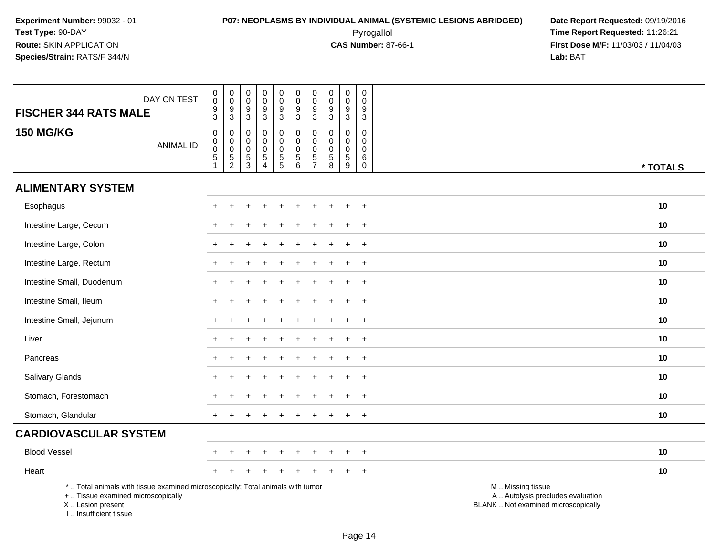Pyrogallol **Time Report Requested:** 11:26:21 **First Dose M/F:** 11/03/03 / 11/04/03<br>**Lab:** BAT **Lab:** BAT

| <b>FISCHER 344 RATS MALE</b>                                                                                                                                          | DAY ON TEST      | $_{\rm 0}^{\rm 0}$<br>$\frac{9}{3}$                            | $\pmb{0}$<br>$\overline{0}$<br>$\frac{9}{3}$ | $\boldsymbol{0}$<br>$\mathsf{O}\xspace$<br>$\frac{9}{3}$      | $\pmb{0}$<br>$\mathsf 0$<br>9<br>$\overline{3}$                   | $\pmb{0}$<br>$\mathsf{O}\xspace$<br>$\boldsymbol{9}$<br>$\overline{3}$ | $\pmb{0}$<br>$\overline{0}$<br>9<br>$\overline{3}$        | $\mathbf 0$<br>$\mathsf{O}\xspace$<br>$9\,$<br>$\overline{3}$ | $\pmb{0}$<br>$\pmb{0}$<br>9<br>$\overline{3}$    | $\pmb{0}$<br>$\frac{0}{9}$                                 | 0<br>$\mathbf 0$<br>9<br>$\sqrt{3}$                        |                                                                                               |          |
|-----------------------------------------------------------------------------------------------------------------------------------------------------------------------|------------------|----------------------------------------------------------------|----------------------------------------------|---------------------------------------------------------------|-------------------------------------------------------------------|------------------------------------------------------------------------|-----------------------------------------------------------|---------------------------------------------------------------|--------------------------------------------------|------------------------------------------------------------|------------------------------------------------------------|-----------------------------------------------------------------------------------------------|----------|
| <b>150 MG/KG</b>                                                                                                                                                      | <b>ANIMAL ID</b> | $\pmb{0}$<br>$\pmb{0}$<br>$\mathbf 0$<br>$5\,$<br>$\mathbf{1}$ | $\pmb{0}$<br>$\mathbf 0$<br>$\frac{0}{5}$    | $\mathbf 0$<br>$\boldsymbol{0}$<br>$\pmb{0}$<br>$\frac{5}{3}$ | $\pmb{0}$<br>0<br>$\mathbf 0$<br>$\overline{5}$<br>$\overline{4}$ | 0<br>$\mathsf{O}\xspace$<br>$\pmb{0}$<br>$\frac{5}{5}$                 | $\pmb{0}$<br>$\overline{0}$<br>$\pmb{0}$<br>$\frac{5}{6}$ | $\mathbf 0$<br>$\mathbf 0$<br>$\mathbf 0$<br>$\frac{5}{7}$    | $\mathbf 0$<br>0<br>$\pmb{0}$<br>$\sqrt{5}$<br>8 | $\mathbf 0$<br>$\mathbf 0$<br>$\pmb{0}$<br>$\sqrt{5}$<br>9 | $\mathbf 0$<br>$\Omega$<br>$\mathbf 0$<br>6<br>$\mathbf 0$ |                                                                                               | * TOTALS |
| <b>ALIMENTARY SYSTEM</b>                                                                                                                                              |                  |                                                                |                                              |                                                               |                                                                   |                                                                        |                                                           |                                                               |                                                  |                                                            |                                                            |                                                                                               |          |
| Esophagus                                                                                                                                                             |                  | $^+$                                                           | $\overline{1}$                               |                                                               |                                                                   | $\div$                                                                 |                                                           | ÷                                                             |                                                  |                                                            | $+$                                                        |                                                                                               | 10       |
| Intestine Large, Cecum                                                                                                                                                |                  |                                                                |                                              |                                                               |                                                                   |                                                                        |                                                           |                                                               |                                                  |                                                            |                                                            |                                                                                               | 10       |
| Intestine Large, Colon                                                                                                                                                |                  |                                                                |                                              |                                                               |                                                                   |                                                                        |                                                           |                                                               |                                                  |                                                            | $\overline{ }$                                             |                                                                                               | 10       |
| Intestine Large, Rectum                                                                                                                                               |                  |                                                                |                                              |                                                               |                                                                   |                                                                        |                                                           |                                                               |                                                  |                                                            | $+$                                                        |                                                                                               | 10       |
| Intestine Small, Duodenum                                                                                                                                             |                  |                                                                |                                              |                                                               |                                                                   |                                                                        |                                                           |                                                               |                                                  |                                                            | $\ddot{}$                                                  |                                                                                               | 10       |
| Intestine Small, Ileum                                                                                                                                                |                  |                                                                |                                              |                                                               |                                                                   |                                                                        |                                                           |                                                               |                                                  |                                                            | $\ddot{}$                                                  |                                                                                               | 10       |
| Intestine Small, Jejunum                                                                                                                                              |                  | $+$                                                            |                                              |                                                               |                                                                   |                                                                        |                                                           |                                                               |                                                  |                                                            | $+$                                                        |                                                                                               | 10       |
| Liver                                                                                                                                                                 |                  |                                                                |                                              |                                                               |                                                                   |                                                                        |                                                           |                                                               |                                                  |                                                            | $+$                                                        |                                                                                               | 10       |
| Pancreas                                                                                                                                                              |                  |                                                                |                                              |                                                               |                                                                   |                                                                        |                                                           |                                                               |                                                  |                                                            | $\ddot{}$                                                  |                                                                                               | 10       |
| Salivary Glands                                                                                                                                                       |                  |                                                                |                                              |                                                               |                                                                   |                                                                        |                                                           |                                                               |                                                  |                                                            | $\overline{ }$                                             |                                                                                               | 10       |
| Stomach, Forestomach                                                                                                                                                  |                  |                                                                |                                              |                                                               |                                                                   |                                                                        |                                                           |                                                               |                                                  |                                                            | $\overline{+}$                                             |                                                                                               | 10       |
| Stomach, Glandular                                                                                                                                                    |                  | $+$                                                            |                                              |                                                               |                                                                   |                                                                        |                                                           |                                                               |                                                  |                                                            | $+$                                                        |                                                                                               | 10       |
| <b>CARDIOVASCULAR SYSTEM</b>                                                                                                                                          |                  |                                                                |                                              |                                                               |                                                                   |                                                                        |                                                           |                                                               |                                                  |                                                            |                                                            |                                                                                               |          |
| <b>Blood Vessel</b>                                                                                                                                                   |                  |                                                                |                                              |                                                               |                                                                   |                                                                        |                                                           |                                                               |                                                  |                                                            | $\pm$                                                      |                                                                                               | 10       |
| Heart                                                                                                                                                                 |                  |                                                                |                                              |                                                               |                                                                   |                                                                        |                                                           |                                                               |                                                  |                                                            | $\overline{+}$                                             |                                                                                               | 10       |
| *  Total animals with tissue examined microscopically; Total animals with tumor<br>+  Tissue examined microscopically<br>X  Lesion present<br>I., Insufficient tissue |                  |                                                                |                                              |                                                               |                                                                   |                                                                        |                                                           |                                                               |                                                  |                                                            |                                                            | M  Missing tissue<br>A  Autolysis precludes evaluation<br>BLANK  Not examined microscopically |          |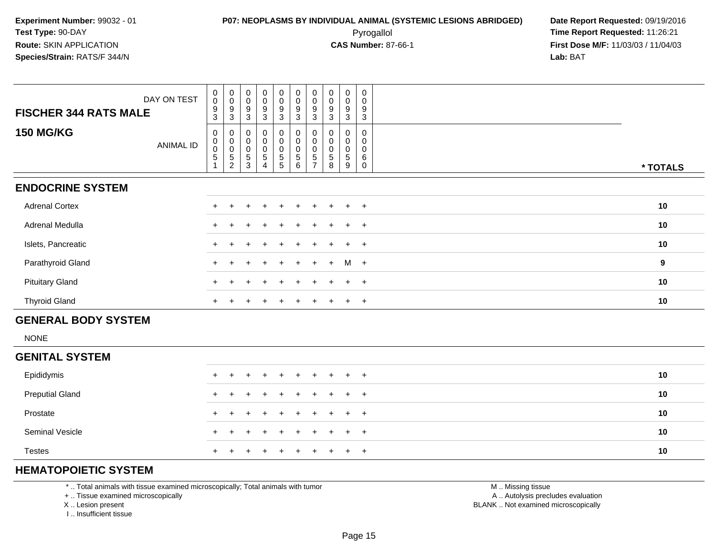**First Dose M/F:** 11/03/03 / 11/04/03<br>**Lab:** BAT **Lab:** BAT

|                              | DAY ON TEST      | $_{\rm 0}^{\rm 0}$                                                | $\begin{smallmatrix} 0\\0 \end{smallmatrix}$      | $\mathbf 0$<br>$\,0\,$                                        | $_{\rm 0}^{\rm 0}$    | $_{\rm 0}^{\rm 0}$                                           | $\pmb{0}$<br>$\mathbf 0$      | $\begin{smallmatrix}0\0\0\end{smallmatrix}$ | 0<br>$\mathsf 0$ | $\pmb{0}$<br>$\pmb{0}$     | $\pmb{0}$<br>0                            |                  |
|------------------------------|------------------|-------------------------------------------------------------------|---------------------------------------------------|---------------------------------------------------------------|-----------------------|--------------------------------------------------------------|-------------------------------|---------------------------------------------|------------------|----------------------------|-------------------------------------------|------------------|
| <b>FISCHER 344 RATS MALE</b> |                  | $\boldsymbol{9}$<br>3                                             | $\boldsymbol{9}$<br>3                             | $\boldsymbol{9}$<br>3                                         | 9<br>3                | $\boldsymbol{9}$<br>3                                        | $\boldsymbol{9}$<br>3         | 9<br>3                                      | 9<br>3           | 9<br>3                     | 9<br>3                                    |                  |
| <b>150 MG/KG</b>             | <b>ANIMAL ID</b> | 0<br>$\pmb{0}$<br>$\mathbf 0$<br>$\overline{5}$<br>$\overline{A}$ | 0<br>$\pmb{0}$<br>$\frac{0}{5}$<br>$\overline{c}$ | 0<br>$\mathbf 0$<br>$\pmb{0}$<br>$\sqrt{5}$<br>$\overline{3}$ | 0<br>0<br>0<br>5<br>4 | 0<br>$\pmb{0}$<br>$\begin{array}{c} 0 \\ 5 \end{array}$<br>5 | 0<br>0<br>$\pmb{0}$<br>5<br>6 | 0<br>0<br>$\pmb{0}$<br>5<br>⇁               | 0<br>5<br>8      | 0<br>0<br>$\mathbf 5$<br>9 | 0<br>0<br>$\mathbf 0$<br>6<br>$\mathbf 0$ | * TOTALS         |
| <b>ENDOCRINE SYSTEM</b>      |                  |                                                                   |                                                   |                                                               |                       |                                                              |                               |                                             |                  |                            |                                           |                  |
| <b>Adrenal Cortex</b>        |                  |                                                                   |                                                   |                                                               |                       |                                                              |                               |                                             | $\pm$            | $+$                        | $+$                                       | 10               |
| Adrenal Medulla              |                  |                                                                   |                                                   |                                                               |                       | $\ddot{}$                                                    | $+$                           |                                             |                  | $+$                        | $+$                                       | 10               |
| Islets, Pancreatic           |                  | $+$                                                               |                                                   |                                                               |                       |                                                              |                               |                                             |                  | $+$                        | $+$                                       | 10               |
| Parathyroid Gland            |                  | $\pm$                                                             |                                                   |                                                               |                       | $\pm$                                                        | $\pm$                         | $\ddot{}$                                   | $+$              | $M +$                      |                                           | $\boldsymbol{9}$ |
| <b>Pituitary Gland</b>       |                  |                                                                   |                                                   |                                                               | $\pm$                 | $\ddot{}$                                                    | $\pm$                         |                                             | $+$              | $+$                        | $+$                                       | 10               |
| <b>Thyroid Gland</b>         |                  | $^+$                                                              |                                                   |                                                               |                       | $\div$                                                       | $\ddot{}$                     |                                             | $\pm$            | $+$ $+$                    |                                           | 10               |
| <b>GENERAL BODY SYSTEM</b>   |                  |                                                                   |                                                   |                                                               |                       |                                                              |                               |                                             |                  |                            |                                           |                  |
| <b>NONE</b>                  |                  |                                                                   |                                                   |                                                               |                       |                                                              |                               |                                             |                  |                            |                                           |                  |
| CENITAL CVCTEM               |                  |                                                                   |                                                   |                                                               |                       |                                                              |                               |                                             |                  |                            |                                           |                  |

| <b>GENITAL SYSTEM</b>  |                     |    |
|------------------------|---------------------|----|
| Epididymis             |                     | 10 |
| <b>Preputial Gland</b> | + + + + + + + + + + | 10 |
| Prostate               | + + + + + + + + + + | 10 |
| <b>Seminal Vesicle</b> | + + + + + + + + + + | 10 |
| <b>Testes</b>          | + + + + + + + + + + | 10 |

## **HEMATOPOIETIC SYSTEM**

\* .. Total animals with tissue examined microscopically; Total animals with tumor

+ .. Tissue examined microscopically

X .. Lesion present

I .. Insufficient tissue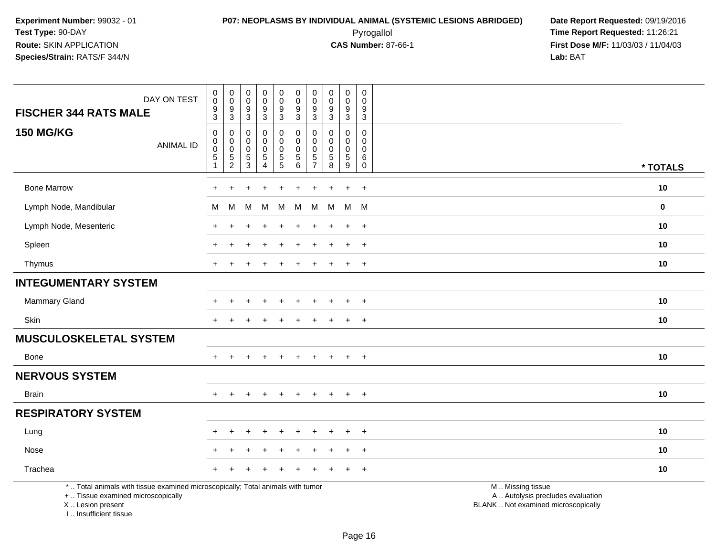Pyrogallol **Time Report Requested:** 11:26:21 **First Dose M/F:** 11/03/03 / 11/04/03<br>**Lab:** BAT **Lab:** BAT

| DAY ON TEST<br><b>FISCHER 344 RATS MALE</b>                                                                                                | $_{\rm 0}^{\rm 0}$<br>$\overline{9}$<br>$\mathfrak{S}$ | $\pmb{0}$<br>$\pmb{0}$<br>9<br>$\sqrt{3}$      | $\pmb{0}$<br>$\mathbf 0$<br>9<br>$\sqrt{3}$     | 0<br>$\pmb{0}$<br>9<br>$\mathbf{3}$    | $_{\rm 0}^{\rm 0}$<br>$\boldsymbol{9}$<br>$\mathbf{3}$ | $\pmb{0}$<br>$\pmb{0}$<br>9<br>$\mathbf{3}$         | $\mathbf 0$<br>0<br>9<br>$\mathbf{3}$                                | $\mathsf{O}\xspace$<br>$\mathbf 0$<br>9<br>$\mathbf{3}$   | $\pmb{0}$<br>$\mathsf{O}\xspace$<br>$\boldsymbol{9}$<br>$\mathbf{3}$ | $\mathsf 0$<br>$\mathbf 0$<br>9<br>$\sqrt{3}$                 |                                                                                               |             |
|--------------------------------------------------------------------------------------------------------------------------------------------|--------------------------------------------------------|------------------------------------------------|-------------------------------------------------|----------------------------------------|--------------------------------------------------------|-----------------------------------------------------|----------------------------------------------------------------------|-----------------------------------------------------------|----------------------------------------------------------------------|---------------------------------------------------------------|-----------------------------------------------------------------------------------------------|-------------|
| <b>150 MG/KG</b><br><b>ANIMAL ID</b>                                                                                                       | $\mathbf 0$<br>$\pmb{0}$<br>$\boldsymbol{0}$<br>5<br>1 | 0<br>$\mathbf 0$<br>$\pmb{0}$<br>$\frac{5}{2}$ | 0<br>$\mathbf 0$<br>$\Omega$<br>$\sqrt{5}$<br>3 | 0<br>0<br>$\mathbf 0$<br>$\frac{5}{4}$ | 0<br>$\mathbf 0$<br>$\pmb{0}$<br>$\frac{5}{5}$         | $\mathbf 0$<br>$\mathbf 0$<br>0<br>$\mathbf 5$<br>6 | $\Omega$<br>$\Omega$<br>$\mathbf{0}$<br>$\sqrt{5}$<br>$\overline{7}$ | $\mathbf 0$<br>$\Omega$<br>$\mathbf 0$<br>$\sqrt{5}$<br>8 | 0<br>$\mathbf 0$<br>$\mathbf 0$<br>$\frac{5}{9}$                     | $\mathbf 0$<br>$\mathbf 0$<br>$\mathbf 0$<br>6<br>$\mathbf 0$ |                                                                                               | * TOTALS    |
| <b>Bone Marrow</b>                                                                                                                         | $\ddot{}$                                              | $\ddot{}$                                      |                                                 | ٠                                      |                                                        | ÷                                                   |                                                                      |                                                           | $\ddot{}$                                                            | $+$                                                           |                                                                                               | 10          |
| Lymph Node, Mandibular                                                                                                                     | М                                                      | M                                              | M                                               | M                                      | M                                                      | М                                                   | M                                                                    | M                                                         | M                                                                    | <b>M</b>                                                      |                                                                                               | $\mathbf 0$ |
| Lymph Node, Mesenteric                                                                                                                     | +                                                      |                                                |                                                 |                                        |                                                        |                                                     |                                                                      |                                                           | $\ddot{}$                                                            | $\ddot{}$                                                     |                                                                                               | 10          |
| Spleen                                                                                                                                     | $\ddot{}$                                              |                                                |                                                 |                                        |                                                        |                                                     |                                                                      |                                                           | $\ddot{}$                                                            | $^{+}$                                                        |                                                                                               | 10          |
| Thymus                                                                                                                                     | $+$                                                    | $\pm$                                          | ÷                                               | $\ddot{}$                              |                                                        | $\ddot{}$                                           | $\pm$                                                                | $\div$                                                    | $\ddot{}$                                                            | $+$                                                           |                                                                                               | 10          |
| <b>INTEGUMENTARY SYSTEM</b>                                                                                                                |                                                        |                                                |                                                 |                                        |                                                        |                                                     |                                                                      |                                                           |                                                                      |                                                               |                                                                                               |             |
| <b>Mammary Gland</b>                                                                                                                       | +                                                      |                                                |                                                 |                                        |                                                        |                                                     |                                                                      |                                                           | $\ddot{}$                                                            | $\ddot{}$                                                     |                                                                                               | 10          |
| Skin                                                                                                                                       | $+$                                                    | $\div$                                         |                                                 |                                        |                                                        |                                                     |                                                                      |                                                           | $\ddot{}$                                                            | $+$                                                           |                                                                                               | 10          |
| <b>MUSCULOSKELETAL SYSTEM</b>                                                                                                              |                                                        |                                                |                                                 |                                        |                                                        |                                                     |                                                                      |                                                           |                                                                      |                                                               |                                                                                               |             |
| Bone                                                                                                                                       | $\pm$                                                  |                                                |                                                 |                                        |                                                        |                                                     |                                                                      |                                                           | $\ddot{}$                                                            | $+$                                                           |                                                                                               | 10          |
| <b>NERVOUS SYSTEM</b>                                                                                                                      |                                                        |                                                |                                                 |                                        |                                                        |                                                     |                                                                      |                                                           |                                                                      |                                                               |                                                                                               |             |
| <b>Brain</b>                                                                                                                               | $+$                                                    | $+$                                            | $+$                                             | $+$                                    | $+$                                                    | $+$                                                 | $\pm$                                                                | $+$                                                       | $+$                                                                  | $+$                                                           |                                                                                               | 10          |
| <b>RESPIRATORY SYSTEM</b>                                                                                                                  |                                                        |                                                |                                                 |                                        |                                                        |                                                     |                                                                      |                                                           |                                                                      |                                                               |                                                                                               |             |
| Lung                                                                                                                                       | ÷                                                      |                                                |                                                 |                                        |                                                        |                                                     |                                                                      |                                                           |                                                                      | $\overline{ }$                                                |                                                                                               | 10          |
| Nose                                                                                                                                       |                                                        |                                                |                                                 |                                        |                                                        |                                                     |                                                                      |                                                           | $\ddot{}$                                                            | $+$                                                           |                                                                                               | 10          |
| Trachea                                                                                                                                    | $\ddot{}$                                              |                                                |                                                 |                                        |                                                        |                                                     |                                                                      |                                                           |                                                                      | $\overline{+}$                                                |                                                                                               | 10          |
| *  Total animals with tissue examined microscopically; Total animals with tumor<br>+  Tissue examined microscopically<br>X  Lesion present |                                                        |                                                |                                                 |                                        |                                                        |                                                     |                                                                      |                                                           |                                                                      |                                                               | M  Missing tissue<br>A  Autolysis precludes evaluation<br>BLANK  Not examined microscopically |             |

I .. Insufficient tissue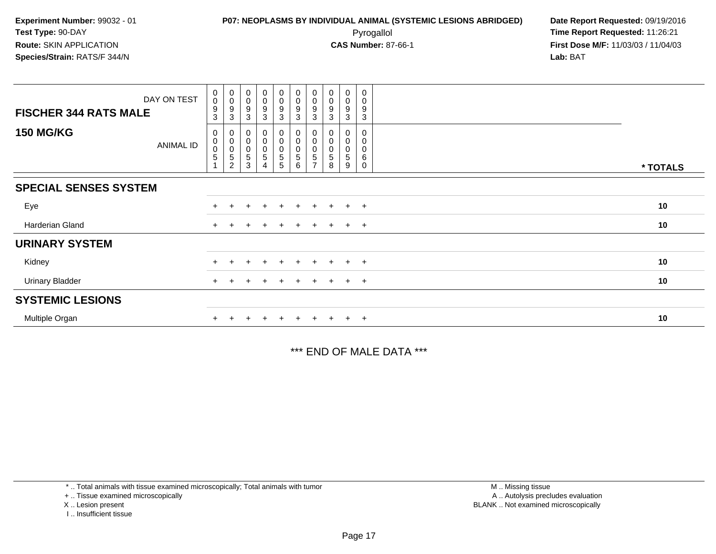**First Dose M/F:** 11/03/03 / 11/04/03<br>**Lab:** BAT **Lab:** BAT

| DAY ON TEST<br><b>FISCHER 344 RATS MALE</b> | 0<br>$\pmb{0}$<br>9<br>3 | $\begin{smallmatrix} 0\\0 \end{smallmatrix}$<br>$\boldsymbol{9}$<br>$\mathbf{3}$ | $\begin{smallmatrix}0\\0\end{smallmatrix}$<br>$\boldsymbol{9}$<br>3 | $\boldsymbol{0}$<br>$\boldsymbol{0}$<br>9<br>3 | $\begin{smallmatrix}0\0\0\end{smallmatrix}$<br>9<br>3 | $_{\rm 0}^{\rm 0}$<br>$\boldsymbol{9}$<br>$\mathbf{3}$                      | $_{\rm 0}^{\rm 0}$<br>$\boldsymbol{9}$<br>3 | $\begin{smallmatrix} 0\\0 \end{smallmatrix}$<br>9<br>3 | $\pmb{0}$<br>$\pmb{0}$<br>9<br>3 | 0<br>0<br>9<br>3             |          |
|---------------------------------------------|--------------------------|----------------------------------------------------------------------------------|---------------------------------------------------------------------|------------------------------------------------|-------------------------------------------------------|-----------------------------------------------------------------------------|---------------------------------------------|--------------------------------------------------------|----------------------------------|------------------------------|----------|
| <b>150 MG/KG</b><br>ANIMAL ID               | 0<br>0<br>0<br>5         | 0<br>$_{\rm 0}^{\rm 0}$<br>$\sqrt{5}$<br>$\overline{c}$                          | 0<br>$\,0\,$<br>$\pmb{0}$<br>5<br>3                                 | 0<br>$\mathbf 0$<br>$\mathbf 5$<br>4           | 0<br>0<br>0<br>5<br>5                                 | $\begin{smallmatrix}0\0\0\end{smallmatrix}$<br>$\pmb{0}$<br>$\sqrt{5}$<br>6 | $\pmb{0}$<br>$\pmb{0}$<br>$\sqrt{5}$        | 0<br>0<br>0<br>5<br>8                                  | $\pmb{0}$<br>$\pmb{0}$<br>5<br>9 | $\Omega$<br>0<br>0<br>6<br>0 | * TOTALS |
| <b>SPECIAL SENSES SYSTEM</b>                |                          |                                                                                  |                                                                     |                                                |                                                       |                                                                             |                                             |                                                        |                                  |                              |          |
| Eye                                         |                          |                                                                                  |                                                                     |                                                |                                                       | $+$                                                                         | $\pm$                                       |                                                        | $+$                              | $+$                          | 10       |
| Harderian Gland                             |                          |                                                                                  |                                                                     |                                                |                                                       | $+$                                                                         | $+$                                         | $\pm$                                                  | $+$ $+$                          |                              | 10       |
| <b>URINARY SYSTEM</b>                       |                          |                                                                                  |                                                                     |                                                |                                                       |                                                                             |                                             |                                                        |                                  |                              |          |
| Kidney                                      |                          |                                                                                  |                                                                     |                                                |                                                       | $+$                                                                         |                                             |                                                        | $+$                              | $^{+}$                       | 10       |
| <b>Urinary Bladder</b>                      |                          |                                                                                  |                                                                     |                                                |                                                       | $+$                                                                         | $+$                                         | $+$                                                    |                                  | $+$ $+$                      | 10       |
| <b>SYSTEMIC LESIONS</b>                     |                          |                                                                                  |                                                                     |                                                |                                                       |                                                                             |                                             |                                                        |                                  |                              |          |
| Multiple Organ                              |                          |                                                                                  |                                                                     |                                                |                                                       | $+$                                                                         | $+$                                         |                                                        | $+$ $+$                          |                              | 10       |

\*\*\* END OF MALE DATA \*\*\*

\* .. Total animals with tissue examined microscopically; Total animals with tumor

+ .. Tissue examined microscopically

X .. Lesion present

I .. Insufficient tissue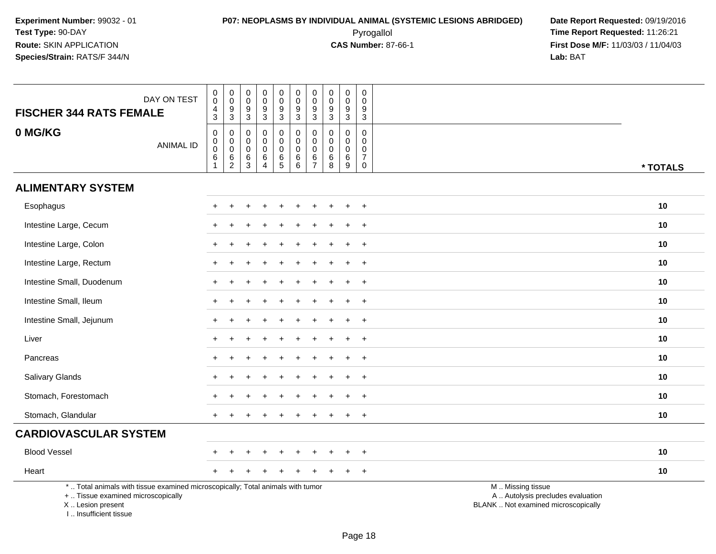Pyrogallol **Time Report Requested:** 11:26:21 **First Dose M/F:** 11/03/03 / 11/04/03<br>**Lab:** BAT **Lab:** BAT

| DAY ON TEST<br><b>FISCHER 344 RATS FEMALE</b>                                                                                                                       | $\boldsymbol{0}$<br>$\overline{0}$<br>$\frac{4}{3}$                  | $\mathbf 0$<br>$\ddot{\mathbf{0}}$<br>$\boldsymbol{9}$<br>$\mathbf{3}$ | $\mathbf 0$<br>$\mathbf 0$<br>$\boldsymbol{9}$<br>$\sqrt{3}$ | $\mathsf 0$<br>$\mathbf 0$<br>$\boldsymbol{9}$<br>$\sqrt{3}$   | $\mathbf 0$<br>$\ddot{\mathbf{0}}$<br>$9\,$<br>3           | $_{\rm 0}^{\rm 0}$<br>$\frac{9}{3}$                       | $\pmb{0}$<br>$\overline{0}$<br>$\boldsymbol{9}$<br>$\mathbf{3}$        | $\mathbf 0$<br>$\boldsymbol{0}$<br>$\boldsymbol{9}$<br>$\mathbf{3}$ | $\mathbf 0$<br>$\mathbf 0$<br>$9\,$<br>$\mathbf{3}$            | $\pmb{0}$<br>$\mathbf 0$<br>9<br>3                               |                                                                                               |  |
|---------------------------------------------------------------------------------------------------------------------------------------------------------------------|----------------------------------------------------------------------|------------------------------------------------------------------------|--------------------------------------------------------------|----------------------------------------------------------------|------------------------------------------------------------|-----------------------------------------------------------|------------------------------------------------------------------------|---------------------------------------------------------------------|----------------------------------------------------------------|------------------------------------------------------------------|-----------------------------------------------------------------------------------------------|--|
| 0 MG/KG<br><b>ANIMAL ID</b>                                                                                                                                         | $\boldsymbol{0}$<br>$\overline{0}$<br>$6\phantom{a}$<br>$\mathbf{1}$ | 0<br>$\mathbf 0$<br>$\mathbf 0$<br>$\,6\,$<br>$\overline{2}$           | $\mathbf 0$<br>$\mathbf 0$<br>$\mathbf 0$<br>$\,6$<br>3      | $\pmb{0}$<br>$\mathbf 0$<br>$\mathbf 0$<br>6<br>$\overline{4}$ | $\mathbf 0$<br>$\mathbf 0$<br>$\mathbf 0$<br>$\frac{6}{5}$ | $\pmb{0}$<br>$\overline{0}$<br>$0$<br>$6\phantom{a}$<br>6 | $\mathbf 0$<br>$\mathbf 0$<br>$\mathbf 0$<br>$\,6\,$<br>$\overline{7}$ | 0<br>$\mathbf 0$<br>$\mathbf 0$<br>$\,6\,$<br>8                     | $\pmb{0}$<br>$\mathbf 0$<br>$\mathbf 0$<br>$6\phantom{a}$<br>9 | $\mathbf 0$<br>0<br>$\mathbf 0$<br>$\overline{7}$<br>$\mathbf 0$ | * TOTALS                                                                                      |  |
| <b>ALIMENTARY SYSTEM</b>                                                                                                                                            |                                                                      |                                                                        |                                                              |                                                                |                                                            |                                                           |                                                                        |                                                                     |                                                                |                                                                  |                                                                                               |  |
| Esophagus                                                                                                                                                           |                                                                      |                                                                        |                                                              |                                                                |                                                            |                                                           |                                                                        |                                                                     |                                                                | $\ddot{}$                                                        | 10                                                                                            |  |
| Intestine Large, Cecum                                                                                                                                              |                                                                      |                                                                        |                                                              |                                                                |                                                            |                                                           |                                                                        |                                                                     |                                                                |                                                                  | 10                                                                                            |  |
| Intestine Large, Colon                                                                                                                                              |                                                                      |                                                                        |                                                              |                                                                |                                                            |                                                           |                                                                        |                                                                     |                                                                | $\overline{+}$                                                   | 10                                                                                            |  |
| Intestine Large, Rectum                                                                                                                                             | $\pm$                                                                |                                                                        |                                                              |                                                                |                                                            |                                                           |                                                                        |                                                                     | $\div$                                                         | $+$                                                              | 10                                                                                            |  |
| Intestine Small, Duodenum                                                                                                                                           |                                                                      |                                                                        |                                                              |                                                                |                                                            |                                                           |                                                                        |                                                                     |                                                                | $\div$                                                           | 10                                                                                            |  |
| Intestine Small, Ileum                                                                                                                                              |                                                                      |                                                                        |                                                              |                                                                |                                                            |                                                           |                                                                        |                                                                     |                                                                | $\ddot{}$                                                        | 10                                                                                            |  |
| Intestine Small, Jejunum                                                                                                                                            |                                                                      |                                                                        |                                                              |                                                                |                                                            |                                                           |                                                                        |                                                                     |                                                                | $\overline{+}$                                                   | 10                                                                                            |  |
| Liver                                                                                                                                                               |                                                                      |                                                                        |                                                              |                                                                |                                                            |                                                           |                                                                        |                                                                     |                                                                | $\div$                                                           | 10                                                                                            |  |
| Pancreas                                                                                                                                                            |                                                                      |                                                                        |                                                              |                                                                |                                                            |                                                           |                                                                        |                                                                     |                                                                | $\ddot{}$                                                        | 10                                                                                            |  |
| Salivary Glands                                                                                                                                                     |                                                                      |                                                                        |                                                              |                                                                |                                                            |                                                           |                                                                        |                                                                     | $\div$                                                         | $+$                                                              | 10                                                                                            |  |
| Stomach, Forestomach                                                                                                                                                |                                                                      |                                                                        |                                                              |                                                                |                                                            |                                                           |                                                                        |                                                                     |                                                                | $\ddot{}$                                                        | 10                                                                                            |  |
| Stomach, Glandular                                                                                                                                                  |                                                                      |                                                                        |                                                              |                                                                |                                                            |                                                           |                                                                        |                                                                     |                                                                | $\overline{+}$                                                   | 10                                                                                            |  |
| <b>CARDIOVASCULAR SYSTEM</b>                                                                                                                                        |                                                                      |                                                                        |                                                              |                                                                |                                                            |                                                           |                                                                        |                                                                     |                                                                |                                                                  |                                                                                               |  |
| <b>Blood Vessel</b>                                                                                                                                                 |                                                                      |                                                                        |                                                              |                                                                |                                                            |                                                           |                                                                        |                                                                     |                                                                | $\pm$                                                            | 10                                                                                            |  |
| Heart                                                                                                                                                               |                                                                      |                                                                        |                                                              |                                                                |                                                            |                                                           |                                                                        |                                                                     |                                                                | $+$                                                              | 10                                                                                            |  |
| *  Total animals with tissue examined microscopically; Total animals with tumor<br>+  Tissue examined microscopically<br>X  Lesion present<br>I Insufficient tissue |                                                                      |                                                                        |                                                              |                                                                |                                                            |                                                           |                                                                        |                                                                     |                                                                |                                                                  | M  Missing tissue<br>A  Autolysis precludes evaluation<br>BLANK  Not examined microscopically |  |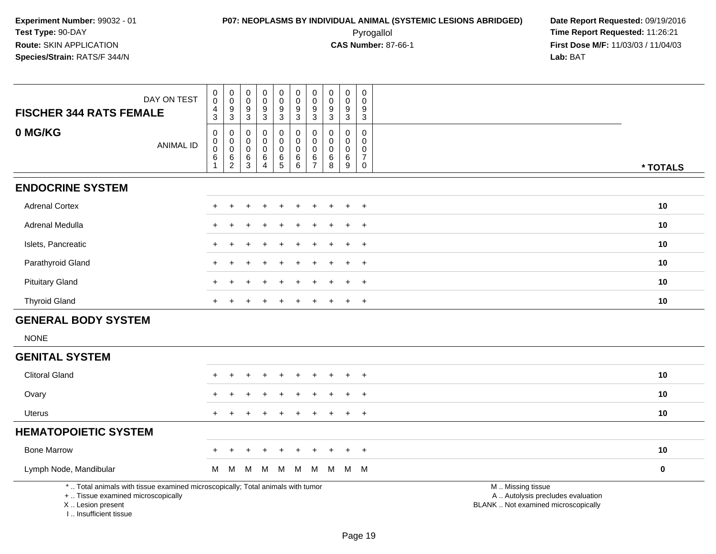**First Dose M/F:** 11/03/03 / 11/04/03<br>**Lab:** BAT **Lab:** BAT

| <b>FISCHER 344 RATS FEMALE</b>                                                                                                             | DAY ON TEST      | 0<br>$\boldsymbol{0}$<br>4<br>3          | $\begin{smallmatrix}0\0\0\end{smallmatrix}$<br>$\boldsymbol{9}$<br>3 | $\pmb{0}$<br>$\mathsf{O}\xspace$<br>$\boldsymbol{9}$<br>3 | $\mathbf 0$<br>$\mathbf 0$<br>9<br>3               | $\mathsf{O}\xspace$<br>$\pmb{0}$<br>9<br>3                         | $\pmb{0}$<br>$\mathsf{O}\xspace$<br>$\boldsymbol{9}$<br>3 | $\pmb{0}$<br>0<br>9<br>$\mathbf{3}$                                  | $\mathbf 0$<br>$\mathbf 0$<br>9<br>3 | $\mathbf 0$<br>0<br>9<br>3                       | 0<br>$\mathbf 0$<br>9<br>3                                       |                                                                                               |          |
|--------------------------------------------------------------------------------------------------------------------------------------------|------------------|------------------------------------------|----------------------------------------------------------------------|-----------------------------------------------------------|----------------------------------------------------|--------------------------------------------------------------------|-----------------------------------------------------------|----------------------------------------------------------------------|--------------------------------------|--------------------------------------------------|------------------------------------------------------------------|-----------------------------------------------------------------------------------------------|----------|
| 0 MG/KG                                                                                                                                    | <b>ANIMAL ID</b> | 0<br>0<br>$\bar{0}$<br>6<br>$\mathbf{1}$ | 0<br>$\begin{smallmatrix}0\0\0\end{smallmatrix}$<br>$\frac{6}{2}$    | 0<br>0<br>$\mathbf 0$<br>$\,6\,$<br>$\mathbf{3}$          | 0<br>0<br>$\mathbf 0$<br>$\,6\,$<br>$\overline{4}$ | $\mathbf 0$<br>$\mathbf 0$<br>$\mathbf 0$<br>$\,6\,$<br>$\sqrt{5}$ | 0<br>$\mathbf 0$<br>$\pmb{0}$<br>$^6_6$                   | $\mathbf 0$<br>$\mathbf 0$<br>$\mathbf 0$<br>$\,6$<br>$\overline{7}$ | 0<br>0<br>$\mathbf 0$<br>6<br>8      | $\mathbf 0$<br>$\Omega$<br>0<br>$\,6\,$<br>$9\,$ | $\mathbf 0$<br>$\mathbf 0$<br>0<br>$\overline{7}$<br>$\mathbf 0$ |                                                                                               | * TOTALS |
| <b>ENDOCRINE SYSTEM</b>                                                                                                                    |                  |                                          |                                                                      |                                                           |                                                    |                                                                    |                                                           |                                                                      |                                      |                                                  |                                                                  |                                                                                               |          |
| <b>Adrenal Cortex</b>                                                                                                                      |                  | ÷                                        |                                                                      |                                                           |                                                    |                                                                    |                                                           |                                                                      |                                      |                                                  | $\ddot{}$                                                        |                                                                                               | 10       |
| Adrenal Medulla                                                                                                                            |                  | +                                        |                                                                      |                                                           |                                                    |                                                                    |                                                           |                                                                      |                                      |                                                  | $^{+}$                                                           |                                                                                               | 10       |
| Islets, Pancreatic                                                                                                                         |                  | $\div$                                   |                                                                      |                                                           |                                                    |                                                                    |                                                           |                                                                      |                                      |                                                  | $\ddot{}$                                                        |                                                                                               | 10       |
| Parathyroid Gland                                                                                                                          |                  | ÷                                        |                                                                      |                                                           |                                                    |                                                                    |                                                           |                                                                      |                                      |                                                  | $+$                                                              |                                                                                               | 10       |
| <b>Pituitary Gland</b>                                                                                                                     |                  | $\div$                                   |                                                                      |                                                           |                                                    |                                                                    |                                                           |                                                                      |                                      | $\pm$                                            | $^{+}$                                                           |                                                                                               | 10       |
| <b>Thyroid Gland</b>                                                                                                                       |                  | $\ddot{}$                                |                                                                      |                                                           |                                                    |                                                                    |                                                           |                                                                      |                                      |                                                  | $+$                                                              |                                                                                               | 10       |
| <b>GENERAL BODY SYSTEM</b>                                                                                                                 |                  |                                          |                                                                      |                                                           |                                                    |                                                                    |                                                           |                                                                      |                                      |                                                  |                                                                  |                                                                                               |          |
| <b>NONE</b>                                                                                                                                |                  |                                          |                                                                      |                                                           |                                                    |                                                                    |                                                           |                                                                      |                                      |                                                  |                                                                  |                                                                                               |          |
| <b>GENITAL SYSTEM</b>                                                                                                                      |                  |                                          |                                                                      |                                                           |                                                    |                                                                    |                                                           |                                                                      |                                      |                                                  |                                                                  |                                                                                               |          |
| <b>Clitoral Gland</b>                                                                                                                      |                  |                                          |                                                                      |                                                           |                                                    |                                                                    |                                                           |                                                                      |                                      |                                                  | $\overline{1}$                                                   |                                                                                               | 10       |
| Ovary                                                                                                                                      |                  | $\div$                                   |                                                                      |                                                           |                                                    |                                                                    |                                                           |                                                                      |                                      |                                                  | $^{+}$                                                           |                                                                                               | 10       |
| Uterus                                                                                                                                     |                  | $+$                                      |                                                                      |                                                           |                                                    |                                                                    |                                                           |                                                                      |                                      |                                                  | $+$                                                              |                                                                                               | 10       |
| <b>HEMATOPOIETIC SYSTEM</b>                                                                                                                |                  |                                          |                                                                      |                                                           |                                                    |                                                                    |                                                           |                                                                      |                                      |                                                  |                                                                  |                                                                                               |          |
| <b>Bone Marrow</b>                                                                                                                         |                  | $+$                                      | $\pm$                                                                | $\div$                                                    |                                                    |                                                                    | $\ddot{}$                                                 |                                                                      |                                      |                                                  | $+$                                                              |                                                                                               | 10       |
| Lymph Node, Mandibular                                                                                                                     |                  | м                                        | M                                                                    | M                                                         | M                                                  | M                                                                  | M                                                         | M                                                                    | M                                    |                                                  | M M                                                              |                                                                                               | $\bf{0}$ |
| *  Total animals with tissue examined microscopically; Total animals with tumor<br>+  Tissue examined microscopically<br>X  Lesion present |                  |                                          |                                                                      |                                                           |                                                    |                                                                    |                                                           |                                                                      |                                      |                                                  |                                                                  | M  Missing tissue<br>A  Autolysis precludes evaluation<br>BLANK  Not examined microscopically |          |

I .. Insufficient tissue

Page 19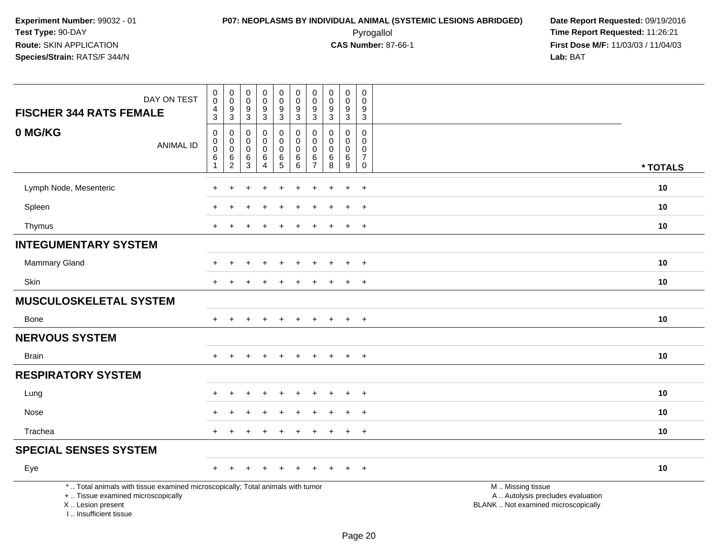| DAY ON TEST<br><b>FISCHER 344 RATS FEMALE</b>                                                                                                                       | $\pmb{0}$<br>$\pmb{0}$<br>$\overline{4}$<br>$\overline{3}$ | $\pmb{0}$<br>$\mathbf 0$<br>$\frac{9}{3}$  | $\pmb{0}$<br>$\mathbf 0$<br>$\boldsymbol{9}$<br>$\mathbf{3}$ | $\pmb{0}$<br>$\ddot{\mathbf{0}}$<br>$\frac{9}{3}$          | $\mathsf 0$<br>$\mathsf{O}\xspace$<br>$\boldsymbol{9}$<br>$\overline{3}$ | $\mathbf 0$<br>$\mathbf 0$<br>$\boldsymbol{9}$<br>$\overline{3}$ | $\pmb{0}$<br>$\mathbf 0$<br>$\boldsymbol{9}$<br>$\mathbf{3}$ | $\pmb{0}$<br>$\pmb{0}$<br>$\boldsymbol{9}$<br>$\mathbf{3}$ | $\mathsf 0$<br>$\overline{0}$<br>9<br>$\overline{3}$ | $\pmb{0}$<br>$\mathbf 0$<br>$\boldsymbol{9}$<br>3                          |                                                                                               |
|---------------------------------------------------------------------------------------------------------------------------------------------------------------------|------------------------------------------------------------|--------------------------------------------|--------------------------------------------------------------|------------------------------------------------------------|--------------------------------------------------------------------------|------------------------------------------------------------------|--------------------------------------------------------------|------------------------------------------------------------|------------------------------------------------------|----------------------------------------------------------------------------|-----------------------------------------------------------------------------------------------|
| 0 MG/KG<br><b>ANIMAL ID</b>                                                                                                                                         | $\mathbf 0$<br>$\mathbf 0$<br>0<br>6<br>$\mathbf{1}$       | 0<br>$\mathbf 0$<br>$\mathsf{O}$<br>$^6_2$ | 0<br>0<br>0<br>$^6_3$                                        | $\mathbf 0$<br>0<br>$\mathsf 0$<br>$\,6$<br>$\overline{4}$ | 0<br>$\mathbf 0$<br>$\mathsf{O}\xspace$<br>$6\over 5$                    | $\mathbf 0$<br>$\pmb{0}$<br>$\mathbf 0$<br>$^6_{\ 6}$            | $\mathbf 0$<br>$\mathbf 0$<br>$\mathbf 0$<br>$\frac{6}{7}$   | $\mathbf 0$<br>$\mathbf 0$<br>$\pmb{0}$<br>$^6_8$          | $\mathbf 0$<br>0<br>$\mathbf 0$<br>$\frac{6}{9}$     | $\mathbf 0$<br>$\mathbf 0$<br>0<br>$\boldsymbol{7}$<br>$\mathsf{O}\xspace$ | * TOTALS                                                                                      |
| Lymph Node, Mesenteric                                                                                                                                              |                                                            |                                            |                                                              |                                                            |                                                                          |                                                                  |                                                              |                                                            | $\ddot{}$                                            | $+$                                                                        | 10                                                                                            |
| Spleen                                                                                                                                                              |                                                            |                                            |                                                              |                                                            |                                                                          |                                                                  |                                                              |                                                            | $\ddot{}$                                            | $+$                                                                        | 10                                                                                            |
| Thymus                                                                                                                                                              | $+$                                                        |                                            |                                                              | <b>+</b>                                                   |                                                                          |                                                                  |                                                              |                                                            | $+$                                                  | $+$                                                                        | 10                                                                                            |
| <b>INTEGUMENTARY SYSTEM</b>                                                                                                                                         |                                                            |                                            |                                                              |                                                            |                                                                          |                                                                  |                                                              |                                                            |                                                      |                                                                            |                                                                                               |
| <b>Mammary Gland</b>                                                                                                                                                |                                                            |                                            |                                                              |                                                            |                                                                          |                                                                  |                                                              |                                                            | $\ddot{}$                                            | $+$                                                                        | 10                                                                                            |
| <b>Skin</b>                                                                                                                                                         |                                                            |                                            |                                                              |                                                            |                                                                          |                                                                  |                                                              |                                                            | $\div$                                               | $\pm$                                                                      | 10                                                                                            |
| MUSCULOSKELETAL SYSTEM                                                                                                                                              |                                                            |                                            |                                                              |                                                            |                                                                          |                                                                  |                                                              |                                                            |                                                      |                                                                            |                                                                                               |
| Bone                                                                                                                                                                | $+$                                                        |                                            |                                                              | $\ddot{}$                                                  | $\div$                                                                   | $\div$                                                           |                                                              |                                                            | $+$                                                  | $+$                                                                        | 10                                                                                            |
| <b>NERVOUS SYSTEM</b>                                                                                                                                               |                                                            |                                            |                                                              |                                                            |                                                                          |                                                                  |                                                              |                                                            |                                                      |                                                                            |                                                                                               |
| <b>Brain</b>                                                                                                                                                        |                                                            |                                            |                                                              | $\div$                                                     |                                                                          |                                                                  |                                                              |                                                            | $+$                                                  | $+$                                                                        | 10                                                                                            |
| <b>RESPIRATORY SYSTEM</b>                                                                                                                                           |                                                            |                                            |                                                              |                                                            |                                                                          |                                                                  |                                                              |                                                            |                                                      |                                                                            |                                                                                               |
| Lung                                                                                                                                                                |                                                            |                                            |                                                              |                                                            |                                                                          |                                                                  |                                                              |                                                            |                                                      | $\overline{+}$                                                             | 10                                                                                            |
| Nose                                                                                                                                                                |                                                            |                                            |                                                              |                                                            |                                                                          |                                                                  |                                                              |                                                            | $\ddot{}$                                            | $+$                                                                        | 10                                                                                            |
| Trachea                                                                                                                                                             | $\div$                                                     |                                            |                                                              |                                                            |                                                                          |                                                                  |                                                              |                                                            | $\overline{+}$                                       | $+$                                                                        | 10                                                                                            |
| <b>SPECIAL SENSES SYSTEM</b>                                                                                                                                        |                                                            |                                            |                                                              |                                                            |                                                                          |                                                                  |                                                              |                                                            |                                                      |                                                                            |                                                                                               |
| Eye                                                                                                                                                                 | $\div$                                                     |                                            |                                                              |                                                            |                                                                          |                                                                  |                                                              |                                                            |                                                      | $+$                                                                        | 10                                                                                            |
| *  Total animals with tissue examined microscopically; Total animals with tumor<br>+  Tissue examined microscopically<br>X  Lesion present<br>I Insufficient tissue |                                                            |                                            |                                                              |                                                            |                                                                          |                                                                  |                                                              |                                                            |                                                      |                                                                            | M  Missing tissue<br>A  Autolysis precludes evaluation<br>BLANK  Not examined microscopically |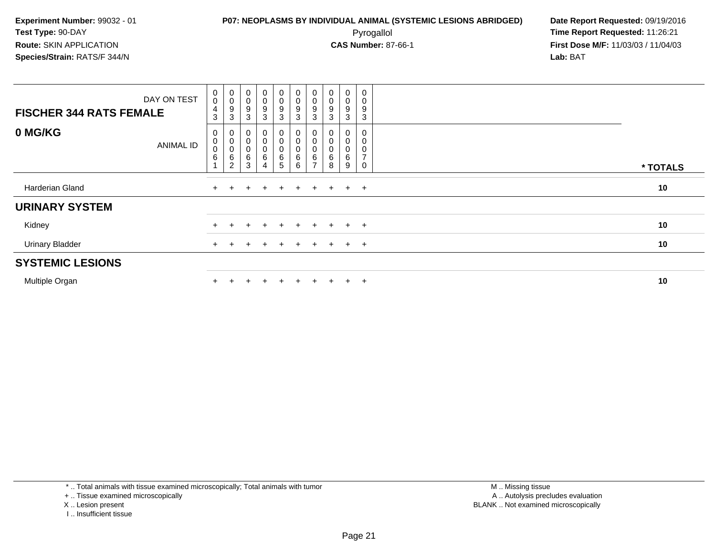**First Dose M/F:** 11/03/03 / 11/04/03<br>**Lab:** BAT **Lab:** BAT

| <b>FISCHER 344 RATS FEMALE</b> | DAY ON TEST      | $\begin{smallmatrix} 0\\0 \end{smallmatrix}$<br>$\overline{\mathbf{r}}$<br>3 | 0<br>$\pmb{0}$<br>9<br>3                                 | $\pmb{0}$<br>0<br>9<br>$\mathbf{3}$ | 0<br>0<br>9<br>$\mathbf{3}$ | 0<br>0<br>9<br>3 <sup>1</sup> | $_{\rm 0}^{\rm 0}$<br>$\frac{9}{3}$ | 0<br>$\pmb{0}$<br>9<br>3             | $\boldsymbol{0}$<br>$\mathbf 0$<br>9<br>3 | 0<br>$\mathsf 0$<br>9<br>3 | 0<br>0<br>9<br>3    |          |
|--------------------------------|------------------|------------------------------------------------------------------------------|----------------------------------------------------------|-------------------------------------|-----------------------------|-------------------------------|-------------------------------------|--------------------------------------|-------------------------------------------|----------------------------|---------------------|----------|
| 0 MG/KG                        | <b>ANIMAL ID</b> | 0<br>$\pmb{0}$<br>$\pmb{0}$<br>$6\phantom{1}6$                               | 0<br>$\mathbf 0$<br>$\pmb{0}$<br>$\,6$<br>$\overline{2}$ | 0<br>0<br>6<br>3                    | 0<br>0<br>0<br>6<br>4       | 0<br>0<br>0<br>$6\over 5$     |                                     | U<br>$\pmb{0}$<br>0<br>$\frac{6}{7}$ | $\mathbf 0$<br>6<br>8                     | 0<br>0<br>0<br>6<br>9      | $\overline{ }$<br>0 | * TOTALS |
| Harderian Gland                |                  | $+$                                                                          |                                                          | $+$                                 | $+$                         | $+$                           | $+$                                 |                                      | $+$ $+$ $+$ $+$                           |                            |                     | 10       |
| <b>URINARY SYSTEM</b>          |                  |                                                                              |                                                          |                                     |                             |                               |                                     |                                      |                                           |                            |                     |          |
| Kidney                         |                  | $+$                                                                          |                                                          |                                     | $\div$                      | $+$                           | $+$                                 | $+$                                  | $+$                                       | $+$                        | $+$                 | 10       |
| <b>Urinary Bladder</b>         |                  | $+$                                                                          |                                                          |                                     | $\div$                      | $+$                           | $\pm$                               | $\pm$                                | $+$                                       | $+$                        | $+$                 | 10       |
| <b>SYSTEMIC LESIONS</b>        |                  |                                                                              |                                                          |                                     |                             |                               |                                     |                                      |                                           |                            |                     |          |
| Multiple Organ                 |                  |                                                                              |                                                          |                                     | $\div$                      | ÷                             |                                     | ÷.                                   | $\div$                                    | $\ddot{}$                  | $+$                 | 10       |

\* .. Total animals with tissue examined microscopically; Total animals with tumor

+ .. Tissue examined microscopically

- X .. Lesion present
- I .. Insufficient tissue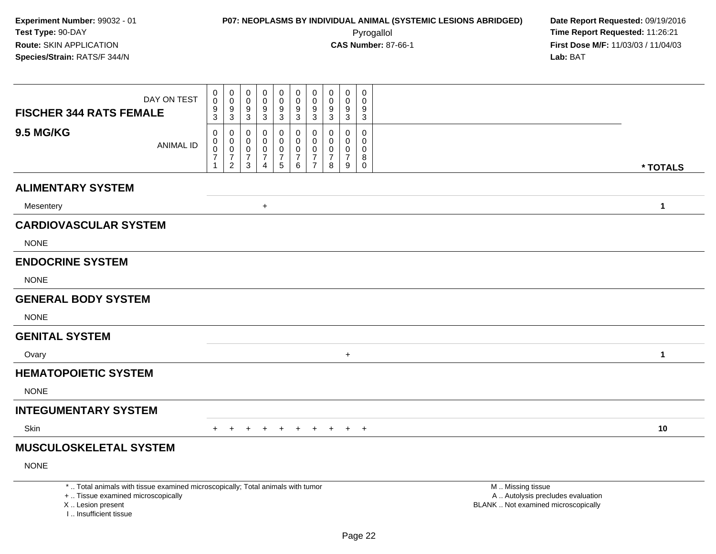| DAY ON TEST<br><b>FISCHER 344 RATS FEMALE</b>                                                                                                                       | 0<br>0<br>$\frac{9}{3}$                              | $\mathbf 0$<br>$\mathsf{O}\xspace$<br>$\frac{9}{3}$                 | 0<br>$\mathbf 0$<br>9<br>$\mathbf{3}$                             | 0<br>0<br>9<br>$\mathbf{3}$                                 | $\mathbf 0$<br>$\mathbf 0$<br>9<br>$\mathbf{3}$                | $\mathbf 0$<br>$\ddot{\mathbf{0}}$<br>$\frac{9}{3}$       | $\mathbf 0$<br>$\mathbf 0$<br>$\boldsymbol{9}$<br>3                 | 0<br>0<br>$\boldsymbol{9}$<br>$\mathbf{3}$             | $\mathbf 0$<br>0<br>$9\,$<br>$\mathbf{3}$              | $\mathbf 0$<br>$\mathbf 0$<br>9<br>3                          |                                                                                               |
|---------------------------------------------------------------------------------------------------------------------------------------------------------------------|------------------------------------------------------|---------------------------------------------------------------------|-------------------------------------------------------------------|-------------------------------------------------------------|----------------------------------------------------------------|-----------------------------------------------------------|---------------------------------------------------------------------|--------------------------------------------------------|--------------------------------------------------------|---------------------------------------------------------------|-----------------------------------------------------------------------------------------------|
| <b>9.5 MG/KG</b><br><b>ANIMAL ID</b>                                                                                                                                | $\mathbf 0$<br>0<br>$\pmb{0}$<br>$\overline{7}$<br>1 | 0<br>$\mathbf 0$<br>$\mathbf 0$<br>$\overline{7}$<br>$\overline{2}$ | 0<br>$\mathbf 0$<br>$\mathbf 0$<br>$\overline{7}$<br>$\mathbf{3}$ | 0<br>0<br>$\mathbf 0$<br>$\boldsymbol{7}$<br>$\overline{4}$ | 0<br>$\mathbf 0$<br>0<br>$\begin{array}{c} 7 \\ 5 \end{array}$ | 0<br>$\mathbf 0$<br>0<br>$\overline{7}$<br>$6\phantom{a}$ | 0<br>$\mathbf 0$<br>$\mathbf 0$<br>$\overline{7}$<br>$\overline{7}$ | $\mathbf 0$<br>$\mathbf 0$<br>0<br>$\overline{7}$<br>8 | $\mathbf 0$<br>0<br>$\mathbf 0$<br>$\overline{7}$<br>9 | $\mathbf 0$<br>$\mathbf 0$<br>$\mathbf 0$<br>8<br>$\mathbf 0$ | * TOTALS                                                                                      |
| <b>ALIMENTARY SYSTEM</b>                                                                                                                                            |                                                      |                                                                     |                                                                   |                                                             |                                                                |                                                           |                                                                     |                                                        |                                                        |                                                               |                                                                                               |
| Mesentery                                                                                                                                                           |                                                      |                                                                     |                                                                   | $\ddot{}$                                                   |                                                                |                                                           |                                                                     |                                                        |                                                        |                                                               | $\mathbf{1}$                                                                                  |
| <b>CARDIOVASCULAR SYSTEM</b>                                                                                                                                        |                                                      |                                                                     |                                                                   |                                                             |                                                                |                                                           |                                                                     |                                                        |                                                        |                                                               |                                                                                               |
| <b>NONE</b>                                                                                                                                                         |                                                      |                                                                     |                                                                   |                                                             |                                                                |                                                           |                                                                     |                                                        |                                                        |                                                               |                                                                                               |
| <b>ENDOCRINE SYSTEM</b>                                                                                                                                             |                                                      |                                                                     |                                                                   |                                                             |                                                                |                                                           |                                                                     |                                                        |                                                        |                                                               |                                                                                               |
| <b>NONE</b>                                                                                                                                                         |                                                      |                                                                     |                                                                   |                                                             |                                                                |                                                           |                                                                     |                                                        |                                                        |                                                               |                                                                                               |
| <b>GENERAL BODY SYSTEM</b>                                                                                                                                          |                                                      |                                                                     |                                                                   |                                                             |                                                                |                                                           |                                                                     |                                                        |                                                        |                                                               |                                                                                               |
| <b>NONE</b>                                                                                                                                                         |                                                      |                                                                     |                                                                   |                                                             |                                                                |                                                           |                                                                     |                                                        |                                                        |                                                               |                                                                                               |
| <b>GENITAL SYSTEM</b>                                                                                                                                               |                                                      |                                                                     |                                                                   |                                                             |                                                                |                                                           |                                                                     |                                                        |                                                        |                                                               |                                                                                               |
| Ovary                                                                                                                                                               |                                                      |                                                                     |                                                                   |                                                             |                                                                |                                                           |                                                                     |                                                        | $+$                                                    |                                                               | 1                                                                                             |
| <b>HEMATOPOIETIC SYSTEM</b>                                                                                                                                         |                                                      |                                                                     |                                                                   |                                                             |                                                                |                                                           |                                                                     |                                                        |                                                        |                                                               |                                                                                               |
| <b>NONE</b>                                                                                                                                                         |                                                      |                                                                     |                                                                   |                                                             |                                                                |                                                           |                                                                     |                                                        |                                                        |                                                               |                                                                                               |
| <b>INTEGUMENTARY SYSTEM</b>                                                                                                                                         |                                                      |                                                                     |                                                                   |                                                             |                                                                |                                                           |                                                                     |                                                        |                                                        |                                                               |                                                                                               |
| Skin                                                                                                                                                                | $+$                                                  | $+$                                                                 | $+$                                                               | $+$                                                         | $+$                                                            | $+$                                                       |                                                                     | $+$ $+$                                                |                                                        | $+$ $+$                                                       | 10                                                                                            |
| <b>MUSCULOSKELETAL SYSTEM</b>                                                                                                                                       |                                                      |                                                                     |                                                                   |                                                             |                                                                |                                                           |                                                                     |                                                        |                                                        |                                                               |                                                                                               |
| <b>NONE</b>                                                                                                                                                         |                                                      |                                                                     |                                                                   |                                                             |                                                                |                                                           |                                                                     |                                                        |                                                        |                                                               |                                                                                               |
| *  Total animals with tissue examined microscopically; Total animals with tumor<br>+  Tissue examined microscopically<br>X  Lesion present<br>I Insufficient tissue |                                                      |                                                                     |                                                                   |                                                             |                                                                |                                                           |                                                                     |                                                        |                                                        |                                                               | M  Missing tissue<br>A  Autolysis precludes evaluation<br>BLANK  Not examined microscopically |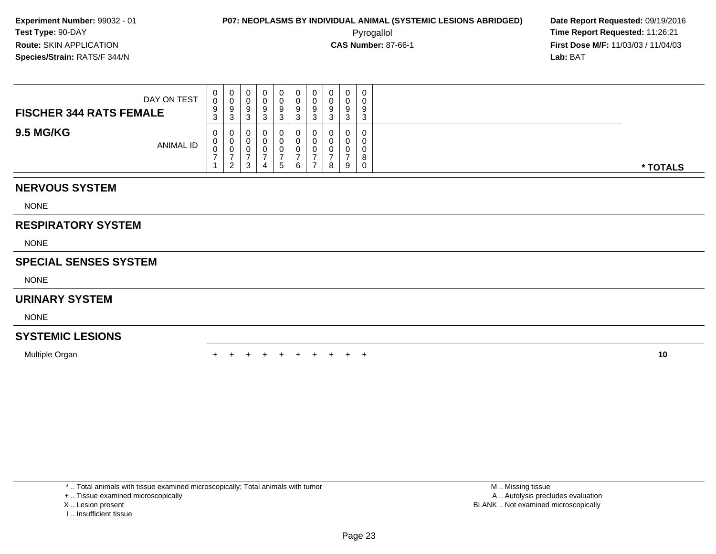Pyrogallol **Time Report Requested:** 11:26:21 **First Dose M/F:** 11/03/03 / 11/04/03<br>**Lab:** BAT **Lab:** BAT

| DAY ON TEST<br><b>FISCHER 344 RATS FEMALE</b> | 0<br>0<br>9<br>◠<br>P | υ<br>9<br>ີ<br>N |  | 0.<br>U<br>9<br>ີ<br>J | 0<br>0<br>9<br>ົ<br>J. | 0<br>U<br>9<br>3 | Ω | $\Omega$ | 0<br>0<br>9<br>3                 |          |
|-----------------------------------------------|-----------------------|------------------|--|------------------------|------------------------|------------------|---|----------|----------------------------------|----------|
| <b>9.5 MG/KG</b><br>ANIMAL ID                 | 0<br>U<br>U           | ◡<br>v<br>- 2    |  | 0.<br>U<br>U<br>5      | 0<br>0<br>6            | U<br>U<br>U      | 8 | 9        | 0<br>0<br>0<br>8<br>$\mathbf{0}$ | * TOTALS |

## **NERVOUS SYSTEM**

NONE

## **RESPIRATORY SYSTEM**

NONE

## **SPECIAL SENSES SYSTEM**

NONE

#### **URINARY SYSTEM**

NONE

## **SYSTEMIC LESIONS**

Multiple Organn  $+$ 

<sup>+</sup> <sup>+</sup> <sup>+</sup> <sup>+</sup> <sup>+</sup> <sup>+</sup> <sup>+</sup> <sup>+</sup> <sup>+</sup> **<sup>10</sup>**

\* .. Total animals with tissue examined microscopically; Total animals with tumor

+ .. Tissue examined microscopically

X .. Lesion present

I .. Insufficient tissue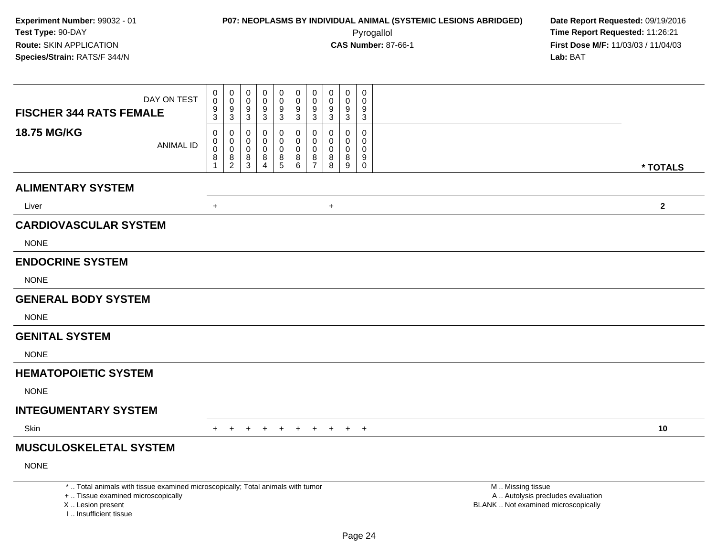| DAY ON TEST<br><b>FISCHER 344 RATS FEMALE</b>                                                                                                                       | $\pmb{0}$<br>$\mathbf 0$<br>$\frac{9}{3}$                              | $\pmb{0}$<br>0<br>$\mathbf 0$<br>0<br>$\boldsymbol{9}$<br>9<br>$\mathbf{3}$<br>$\sqrt{3}$            | 0<br>$\mathbf 0$<br>9<br>$\overline{3}$      | 0<br>0<br>$\frac{9}{3}$                                | $\mathbf 0$<br>$\mathbf 0$<br>$\frac{9}{3}$   | $\pmb{0}$<br>$\mathbf 0$<br>9<br>$\mathbf{3}$          | $\mathbf 0$<br>$\mathbf 0$<br>9<br>$\mathbf{3}$ | $\mathbf 0$<br>$\mathbf 0$<br>9<br>$\mathbf 3$      | 0<br>$\mathbf{0}$<br>9<br>$\mathbf{3}$    |                                                                                               |  |
|---------------------------------------------------------------------------------------------------------------------------------------------------------------------|------------------------------------------------------------------------|------------------------------------------------------------------------------------------------------|----------------------------------------------|--------------------------------------------------------|-----------------------------------------------|--------------------------------------------------------|-------------------------------------------------|-----------------------------------------------------|-------------------------------------------|-----------------------------------------------------------------------------------------------|--|
| 18.75 MG/KG                                                                                                                                                         | 0<br>$\pmb{0}$<br><b>ANIMAL ID</b><br>$\mathbf 0$<br>8<br>$\mathbf{1}$ | 0<br>0<br>$\mathbf 0$<br>$\mathbf 0$<br>$\mathbf 0$<br>0<br>8<br>8<br>$\overline{2}$<br>$\mathbf{3}$ | 0<br>$\mathbf 0$<br>0<br>8<br>$\overline{4}$ | 0<br>$\mathbf 0$<br>$\mathbf 0$<br>8<br>$\overline{5}$ | 0<br>$\mathbf 0$<br>$\mathbf 0$<br>$_{6}^{8}$ | 0<br>$\mathbf 0$<br>$\mathbf 0$<br>8<br>$\overline{7}$ | 0<br>$\mathbf 0$<br>$\mathbf 0$<br>$_{8}^8$     | $\mathbf 0$<br>$\mathbf 0$<br>$\mathbf 0$<br>8<br>9 | 0<br>$\mathbf 0$<br>$\mathbf 0$<br>9<br>0 | * TOTALS                                                                                      |  |
| <b>ALIMENTARY SYSTEM</b>                                                                                                                                            |                                                                        |                                                                                                      |                                              |                                                        |                                               |                                                        |                                                 |                                                     |                                           |                                                                                               |  |
| Liver                                                                                                                                                               | $\ddot{}$                                                              |                                                                                                      |                                              |                                                        |                                               |                                                        | $+$                                             |                                                     |                                           | $\mathbf{2}$                                                                                  |  |
| <b>CARDIOVASCULAR SYSTEM</b>                                                                                                                                        |                                                                        |                                                                                                      |                                              |                                                        |                                               |                                                        |                                                 |                                                     |                                           |                                                                                               |  |
| <b>NONE</b>                                                                                                                                                         |                                                                        |                                                                                                      |                                              |                                                        |                                               |                                                        |                                                 |                                                     |                                           |                                                                                               |  |
| <b>ENDOCRINE SYSTEM</b>                                                                                                                                             |                                                                        |                                                                                                      |                                              |                                                        |                                               |                                                        |                                                 |                                                     |                                           |                                                                                               |  |
| <b>NONE</b>                                                                                                                                                         |                                                                        |                                                                                                      |                                              |                                                        |                                               |                                                        |                                                 |                                                     |                                           |                                                                                               |  |
| <b>GENERAL BODY SYSTEM</b>                                                                                                                                          |                                                                        |                                                                                                      |                                              |                                                        |                                               |                                                        |                                                 |                                                     |                                           |                                                                                               |  |
| <b>NONE</b>                                                                                                                                                         |                                                                        |                                                                                                      |                                              |                                                        |                                               |                                                        |                                                 |                                                     |                                           |                                                                                               |  |
| <b>GENITAL SYSTEM</b>                                                                                                                                               |                                                                        |                                                                                                      |                                              |                                                        |                                               |                                                        |                                                 |                                                     |                                           |                                                                                               |  |
| <b>NONE</b>                                                                                                                                                         |                                                                        |                                                                                                      |                                              |                                                        |                                               |                                                        |                                                 |                                                     |                                           |                                                                                               |  |
| <b>HEMATOPOIETIC SYSTEM</b>                                                                                                                                         |                                                                        |                                                                                                      |                                              |                                                        |                                               |                                                        |                                                 |                                                     |                                           |                                                                                               |  |
| <b>NONE</b>                                                                                                                                                         |                                                                        |                                                                                                      |                                              |                                                        |                                               |                                                        |                                                 |                                                     |                                           |                                                                                               |  |
| <b>INTEGUMENTARY SYSTEM</b>                                                                                                                                         |                                                                        |                                                                                                      |                                              |                                                        |                                               |                                                        |                                                 |                                                     |                                           |                                                                                               |  |
| Skin                                                                                                                                                                | $+$                                                                    | $+$<br>$+$                                                                                           | $+$                                          | $+$                                                    | + + + + +                                     |                                                        |                                                 |                                                     |                                           | 10                                                                                            |  |
| <b>MUSCULOSKELETAL SYSTEM</b>                                                                                                                                       |                                                                        |                                                                                                      |                                              |                                                        |                                               |                                                        |                                                 |                                                     |                                           |                                                                                               |  |
| <b>NONE</b>                                                                                                                                                         |                                                                        |                                                                                                      |                                              |                                                        |                                               |                                                        |                                                 |                                                     |                                           |                                                                                               |  |
| *  Total animals with tissue examined microscopically; Total animals with tumor<br>+  Tissue examined microscopically<br>X  Lesion present<br>I Insufficient tissue |                                                                        |                                                                                                      |                                              |                                                        |                                               |                                                        |                                                 |                                                     |                                           | M  Missing tissue<br>A  Autolysis precludes evaluation<br>BLANK  Not examined microscopically |  |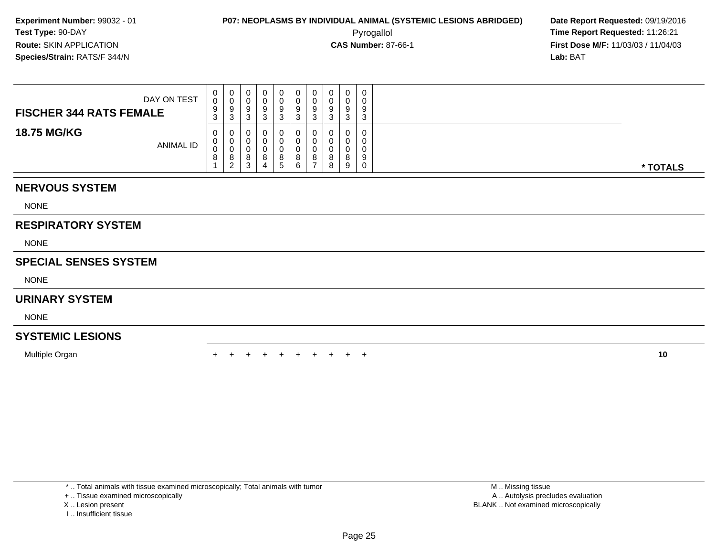Pyrogallol **Time Report Requested:** 11:26:21 **First Dose M/F:** 11/03/03 / 11/04/03<br>**Lab:** BAT **Lab:** BAT

| DAY ON TEST<br><b>FISCHER 344 RATS FEMALE</b> | 0<br>0<br>9<br>3 | ت | ◡<br>ັ<br>د | 0<br>9<br>3                   | U<br>v<br>◡<br>ບ  | 0<br>v<br>9<br>3 |   | 0<br>-3 | 0<br>0<br>9<br>3      |          |
|-----------------------------------------------|------------------|---|-------------|-------------------------------|-------------------|------------------|---|---------|-----------------------|----------|
| <b>18.75 MG/KG</b><br><b>ANIMAL ID</b>        | 0<br>0<br>0<br>8 | O | O<br>د      | 0<br>0<br>$\circ$<br><u>5</u> | $\circ$<br>O<br>6 | 0<br>υ<br>υ<br>8 | 8 | 9       | 0<br>0<br>0<br>9<br>0 | * TOTALS |

## **NERVOUS SYSTEM**

NONE

## **RESPIRATORY SYSTEM**

NONE

## **SPECIAL SENSES SYSTEM**

NONE

#### **URINARY SYSTEM**

NONE

## **SYSTEMIC LESIONS**

Multiple Organn  $+$ 

<sup>+</sup> <sup>+</sup> <sup>+</sup> <sup>+</sup> <sup>+</sup> <sup>+</sup> <sup>+</sup> <sup>+</sup> <sup>+</sup> **<sup>10</sup>**

\* .. Total animals with tissue examined microscopically; Total animals with tumor

+ .. Tissue examined microscopically

X .. Lesion present

I .. Insufficient tissue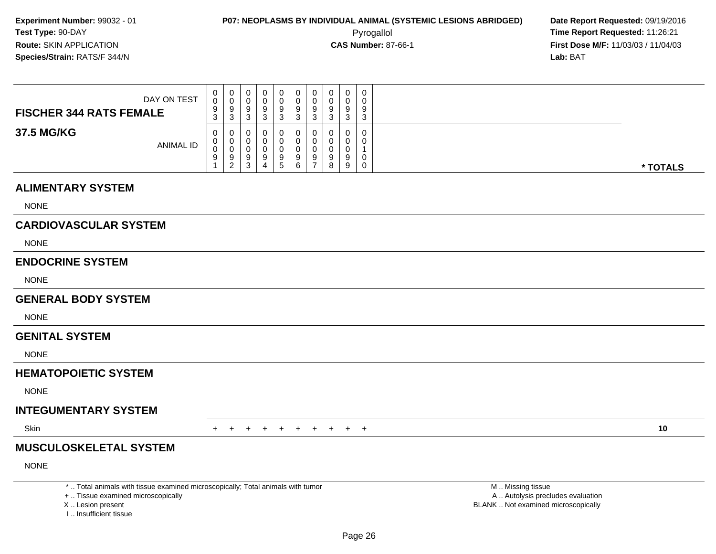Pyrogallol **Time Report Requested:** 11:26:21 **First Dose M/F:** 11/03/03 / 11/04/03<br>**Lab:** BAT **Lab:** BAT

| DAY ON TEST<br><b>FISCHER 344 RATS FEMALE</b> | U<br>0<br>9<br>3 | 0<br>v<br>-9<br>-3            | 0<br>U<br>9<br>◠<br>ັ                 | ັ | U<br>u<br>9 | 9 | ◡<br>ັ | 0<br>0<br>$\Omega$<br>◡<br>3 | ◡<br>Q<br>$\sim$ |          |
|-----------------------------------------------|------------------|-------------------------------|---------------------------------------|---|-------------|---|--------|------------------------------|------------------|----------|
| 37.5 MG/KG<br><b>ANIMAL ID</b>                | 0<br>υ<br>U<br>9 | U<br>U<br>-9<br>ົ<br><u>_</u> | 0<br>0<br>0<br>9<br><sup>o</sup><br>J | 5 | 9           | 9 | 8      | 0<br>0<br>a<br>9             |                  | * TOTALS |

#### **ALIMENTARY SYSTEM**

NONE

## **CARDIOVASCULAR SYSTEM**

NONE

#### **ENDOCRINE SYSTEM**

NONE

#### **GENERAL BODY SYSTEM**

NONE

#### **GENITAL SYSTEM**

NONE

#### **HEMATOPOIETIC SYSTEM**

NONE

## **INTEGUMENTARY SYSTEM**

**Skin** n  $+$ 

<sup>+</sup> <sup>+</sup> <sup>+</sup> <sup>+</sup> <sup>+</sup> <sup>+</sup> <sup>+</sup> <sup>+</sup> <sup>+</sup> **<sup>10</sup>**

## **MUSCULOSKELETAL SYSTEM**

NONE

\* .. Total animals with tissue examined microscopically; Total animals with tumor

+ .. Tissue examined microscopically

X .. Lesion present

I .. Insufficient tissue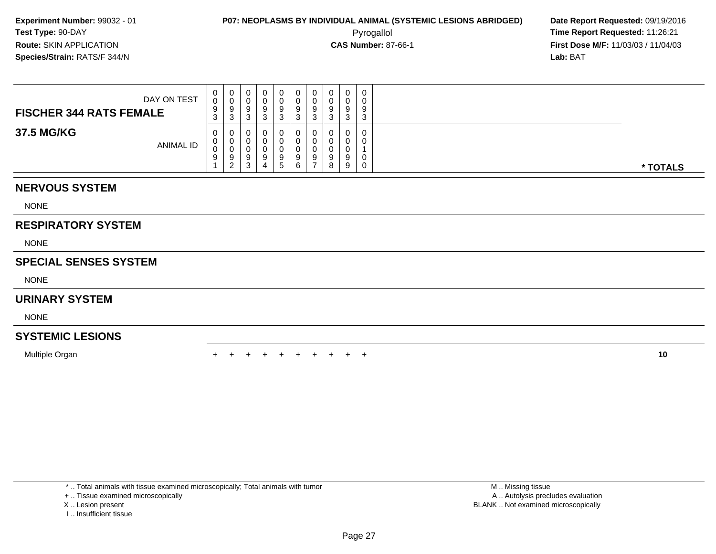Pyrogallol **Time Report Requested:** 11:26:21 **First Dose M/F:** 11/03/03 / 11/04/03<br>**Lab:** BAT **Lab:** BAT

| DAY ON TEST<br><b>FISCHER 344 RATS FEMALE</b> | 0<br>0<br>9<br>ົ<br><b>ن</b> | U<br>∩<br>ູ<br>3       |  | 0<br>9<br>3  | 0<br>0<br>9<br>ົ<br>J. | 0<br>U<br>9<br>3 | <sup>o</sup><br>◡<br>⌒<br>ີ | $\Omega$ | $\mathbf{0}$<br>0<br>9<br>◠<br>ა |          |
|-----------------------------------------------|------------------------------|------------------------|--|--------------|------------------------|------------------|-----------------------------|----------|----------------------------------|----------|
| 37.5 MG/KG<br><b>ANIMAL ID</b>                | $\mathbf{0}$<br>U<br>◡<br>9  | ◡<br>U.<br>◡<br>9<br>ົ |  | O.<br>9<br>5 | 0<br>0<br>9<br>6       | U<br>U<br>9      | $\Omega$<br>8               | 9        | $\mathbf 0$<br>0<br>0<br>0       | * TOTALS |

## **NERVOUS SYSTEM**

NONE

## **RESPIRATORY SYSTEM**

NONE

## **SPECIAL SENSES SYSTEM**

NONE

#### **URINARY SYSTEM**

NONE

## **SYSTEMIC LESIONS**

Multiple Organn  $+$ 

<sup>+</sup> <sup>+</sup> <sup>+</sup> <sup>+</sup> <sup>+</sup> <sup>+</sup> <sup>+</sup> <sup>+</sup> <sup>+</sup> **<sup>10</sup>**

\* .. Total animals with tissue examined microscopically; Total animals with tumor

+ .. Tissue examined microscopically

X .. Lesion present

I .. Insufficient tissue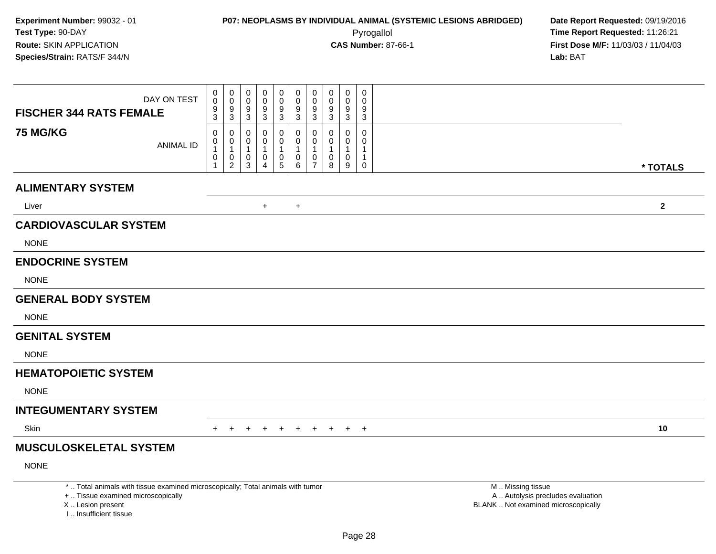| DAY ON TEST<br><b>FISCHER 344 RATS FEMALE</b>                                                                                                                       | $\pmb{0}$<br>$\mathbf 0$<br>$\frac{9}{3}$                                           | $\pmb{0}$<br>0<br>$\mathbf 0$<br>$\mathbf 0$<br>$\frac{9}{3}$<br>9<br>$\mathbf{3}$                 | 0<br>$\mathbf 0$<br>$\frac{9}{3}$             | $\pmb{0}$<br>$\mathbf 0$<br>$\pmb{0}$<br>$\pmb{0}$<br>$\frac{9}{3}$<br>$\frac{9}{3}$                                                                 | $\pmb{0}$<br>$\mathbf 0$<br>9<br>$\mathbf{3}$                     | $\mathbf 0$<br>$\mathbf 0$<br>9<br>$\overline{3}$      | $\mathbf 0$<br>$\mathbf 0$<br>9<br>$\overline{3}$              | 0<br>$\mathbf{0}$<br>9<br>$\mathbf{3}$                |                                                                                               |              |
|---------------------------------------------------------------------------------------------------------------------------------------------------------------------|-------------------------------------------------------------------------------------|----------------------------------------------------------------------------------------------------|-----------------------------------------------|------------------------------------------------------------------------------------------------------------------------------------------------------|-------------------------------------------------------------------|--------------------------------------------------------|----------------------------------------------------------------|-------------------------------------------------------|-----------------------------------------------------------------------------------------------|--------------|
| <b>75 MG/KG</b>                                                                                                                                                     | $\mathbf 0$<br>0<br><b>ANIMAL ID</b><br>$\mathbf{1}$<br>$\mathbf 0$<br>$\mathbf{1}$ | $\mathbf 0$<br>0<br>$\pmb{0}$<br>0<br>$\mathbf{1}$<br>1<br>$\mathbf 0$<br>0<br>$\overline{2}$<br>3 | 0<br>0<br>$\mathbf{1}$<br>0<br>$\overline{4}$ | 0<br>0<br>$\ddot{\mathbf{0}}$<br>$\mathbf 0$<br>$\mathbf{1}$<br>$\mathbf{1}$<br>$\begin{array}{c} 0 \\ 5 \end{array}$<br>$\pmb{0}$<br>$6\phantom{a}$ | 0<br>$\mathbf 0$<br>$\mathbf{1}$<br>$\mathbf 0$<br>$\overline{7}$ | $\mathbf 0$<br>$\mathbf 0$<br>$\overline{1}$<br>0<br>8 | $\mathbf 0$<br>$\mathbf 0$<br>$\mathbf{1}$<br>$\mathbf 0$<br>9 | 0<br>$\mathbf 0$<br>$\mathbf{1}$<br>$\mathbf{1}$<br>0 |                                                                                               | * TOTALS     |
| <b>ALIMENTARY SYSTEM</b>                                                                                                                                            |                                                                                     |                                                                                                    |                                               |                                                                                                                                                      |                                                                   |                                                        |                                                                |                                                       |                                                                                               |              |
| Liver                                                                                                                                                               |                                                                                     |                                                                                                    | $+$                                           | $+$                                                                                                                                                  |                                                                   |                                                        |                                                                |                                                       |                                                                                               | $\mathbf{2}$ |
| <b>CARDIOVASCULAR SYSTEM</b>                                                                                                                                        |                                                                                     |                                                                                                    |                                               |                                                                                                                                                      |                                                                   |                                                        |                                                                |                                                       |                                                                                               |              |
| <b>NONE</b>                                                                                                                                                         |                                                                                     |                                                                                                    |                                               |                                                                                                                                                      |                                                                   |                                                        |                                                                |                                                       |                                                                                               |              |
| <b>ENDOCRINE SYSTEM</b>                                                                                                                                             |                                                                                     |                                                                                                    |                                               |                                                                                                                                                      |                                                                   |                                                        |                                                                |                                                       |                                                                                               |              |
| <b>NONE</b>                                                                                                                                                         |                                                                                     |                                                                                                    |                                               |                                                                                                                                                      |                                                                   |                                                        |                                                                |                                                       |                                                                                               |              |
| <b>GENERAL BODY SYSTEM</b>                                                                                                                                          |                                                                                     |                                                                                                    |                                               |                                                                                                                                                      |                                                                   |                                                        |                                                                |                                                       |                                                                                               |              |
| <b>NONE</b>                                                                                                                                                         |                                                                                     |                                                                                                    |                                               |                                                                                                                                                      |                                                                   |                                                        |                                                                |                                                       |                                                                                               |              |
| <b>GENITAL SYSTEM</b>                                                                                                                                               |                                                                                     |                                                                                                    |                                               |                                                                                                                                                      |                                                                   |                                                        |                                                                |                                                       |                                                                                               |              |
| <b>NONE</b>                                                                                                                                                         |                                                                                     |                                                                                                    |                                               |                                                                                                                                                      |                                                                   |                                                        |                                                                |                                                       |                                                                                               |              |
| <b>HEMATOPOIETIC SYSTEM</b>                                                                                                                                         |                                                                                     |                                                                                                    |                                               |                                                                                                                                                      |                                                                   |                                                        |                                                                |                                                       |                                                                                               |              |
| <b>NONE</b>                                                                                                                                                         |                                                                                     |                                                                                                    |                                               |                                                                                                                                                      |                                                                   |                                                        |                                                                |                                                       |                                                                                               |              |
| <b>INTEGUMENTARY SYSTEM</b>                                                                                                                                         |                                                                                     |                                                                                                    |                                               |                                                                                                                                                      |                                                                   |                                                        |                                                                |                                                       |                                                                                               |              |
| Skin                                                                                                                                                                | $+$                                                                                 | $+$                                                                                                |                                               | $+$<br>$+$                                                                                                                                           | $+$                                                               | $+$                                                    |                                                                | $+$ $+$                                               |                                                                                               | 10           |
| <b>MUSCULOSKELETAL SYSTEM</b>                                                                                                                                       |                                                                                     |                                                                                                    |                                               |                                                                                                                                                      |                                                                   |                                                        |                                                                |                                                       |                                                                                               |              |
| <b>NONE</b>                                                                                                                                                         |                                                                                     |                                                                                                    |                                               |                                                                                                                                                      |                                                                   |                                                        |                                                                |                                                       |                                                                                               |              |
| *  Total animals with tissue examined microscopically; Total animals with tumor<br>+  Tissue examined microscopically<br>X  Lesion present<br>I Insufficient tissue |                                                                                     |                                                                                                    |                                               |                                                                                                                                                      |                                                                   |                                                        |                                                                |                                                       | M  Missing tissue<br>A  Autolysis precludes evaluation<br>BLANK  Not examined microscopically |              |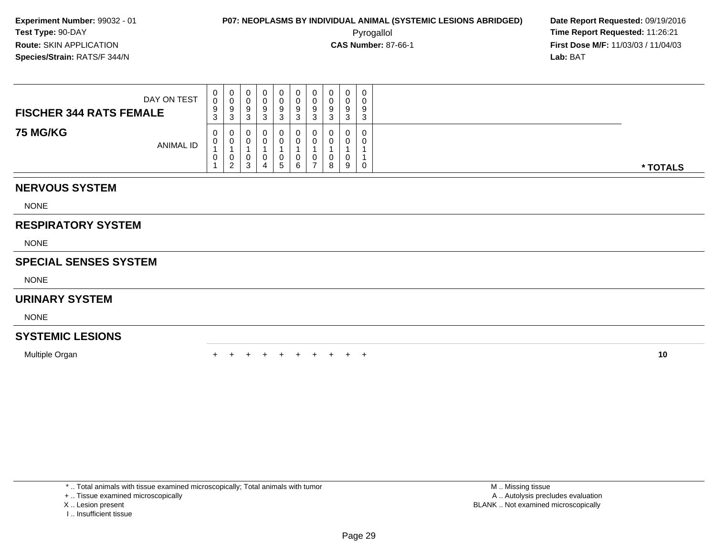Pyrogallol **Time Report Requested:** 11:26:21 **First Dose M/F:** 11/03/03 / 11/04/03<br>**Lab:** BAT **Lab:** BAT

| DAY ON TEST<br><b>FISCHER 344 RATS FEMALE</b> | U<br>$\sim$<br>9<br>⌒<br>ັ | U<br>- 0 | 0<br>u<br>9<br>۰J     | c.<br>c<br>◡ | 0<br>9<br>د.       | 0<br>υ<br>9<br><sup>o</sup><br>ັ | Ω<br>◡<br>ັ |   | 0<br>O<br><b>J</b> | 0<br>U<br>9<br>3 |          |
|-----------------------------------------------|----------------------------|----------|-----------------------|--------------|--------------------|----------------------------------|-------------|---|--------------------|------------------|----------|
| <b>75 MG/KG</b><br><b>ANIMAL ID</b>           | U<br>U<br>v                | ັ<br>ົ   | υ<br>υ<br>υ<br>◠<br>ۍ |              | 0<br>0<br>U<br>৾৾৾ | 0<br>0<br>0<br>6                 | ◡<br>-      | 8 | 0<br>u<br>9        | 0<br>0<br>0      | * TOTALS |

## **NERVOUS SYSTEM**

NONE

## **RESPIRATORY SYSTEM**

NONE

## **SPECIAL SENSES SYSTEM**

NONE

#### **URINARY SYSTEM**

NONE

## **SYSTEMIC LESIONS**

Multiple Organn  $+$ 

<sup>+</sup> <sup>+</sup> <sup>+</sup> <sup>+</sup> <sup>+</sup> <sup>+</sup> <sup>+</sup> <sup>+</sup> <sup>+</sup> **<sup>10</sup>**

\* .. Total animals with tissue examined microscopically; Total animals with tumor

+ .. Tissue examined microscopically

X .. Lesion present

I .. Insufficient tissue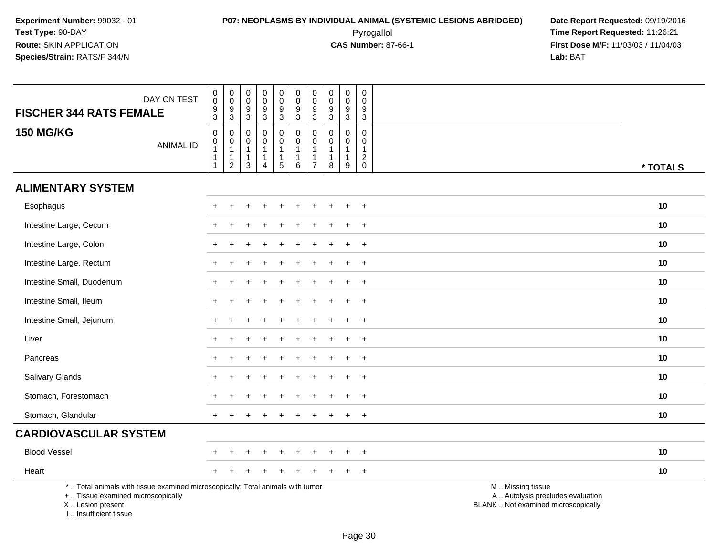| DAY ON TEST<br><b>FISCHER 344 RATS FEMALE</b>                                                                                                                         | $\boldsymbol{0}$<br>$\overline{0}$<br>$^9_3$                                                | $\pmb{0}$<br>$\mathsf 0$<br>9<br>$\overline{3}$                         | $\pmb{0}$<br>$\boldsymbol{0}$<br>$9\,$<br>$\sqrt{3}$              | $\pmb{0}$<br>$\mathsf{O}\xspace$<br>$\frac{9}{3}$                          | $\mathbf 0$<br>$\overline{0}$<br>9<br>$\overline{3}$                     | $\pmb{0}$<br>$\frac{0}{9}$<br>$\overline{3}$                        | $\pmb{0}$<br>$\pmb{0}$<br>$\boldsymbol{9}$<br>$\overline{3}$                 | $\pmb{0}$<br>$\mathsf{O}\xspace$<br>9<br>$\overline{3}$        | $\mathbf 0$<br>$\pmb{0}$<br>$9\,$<br>$\sqrt{3}$                                | $\mathbf 0$<br>$\mathbf 0$<br>9<br>$\mathbf 3$              |                                                                                               |
|-----------------------------------------------------------------------------------------------------------------------------------------------------------------------|---------------------------------------------------------------------------------------------|-------------------------------------------------------------------------|-------------------------------------------------------------------|----------------------------------------------------------------------------|--------------------------------------------------------------------------|---------------------------------------------------------------------|------------------------------------------------------------------------------|----------------------------------------------------------------|--------------------------------------------------------------------------------|-------------------------------------------------------------|-----------------------------------------------------------------------------------------------|
| <b>150 MG/KG</b><br><b>ANIMAL ID</b>                                                                                                                                  | $\mathbf 0$<br>$\begin{smallmatrix}0\\1\end{smallmatrix}$<br>$\mathbf{1}$<br>$\overline{1}$ | 0<br>$\boldsymbol{0}$<br>$\mathbf{1}$<br>$\mathbf{1}$<br>$\overline{2}$ | $\mathbf 0$<br>$\mathbf 0$<br>$\mathbf{1}$<br>$\overline{1}$<br>3 | $\mathbf 0$<br>$\pmb{0}$<br>$\mathbf{1}$<br>$\mathbf{1}$<br>$\overline{4}$ | $\mathsf{O}$<br>$\ddot{\mathbf{0}}$<br>$\mathbf{1}$<br>$\mathbf{1}$<br>5 | $\mathbf 0$<br>$\pmb{0}$<br>$\mathbf{1}$<br>$\mathbf{1}$<br>$\,6\,$ | $\mathbf 0$<br>$\pmb{0}$<br>$\mathbf{1}$<br>$\overline{1}$<br>$\overline{7}$ | $\mathbf 0$<br>$\Omega$<br>$\overline{1}$<br>$\mathbf{1}$<br>8 | $\mathbf 0$<br>$\mathbf 0$<br>$\mathbf{1}$<br>$\overline{1}$<br>$\overline{9}$ | $\mathbf 0$<br>$\mathbf{0}$<br>$\mathbf{1}$<br>$^2_{\rm 0}$ | * TOTALS                                                                                      |
| <b>ALIMENTARY SYSTEM</b>                                                                                                                                              |                                                                                             |                                                                         |                                                                   |                                                                            |                                                                          |                                                                     |                                                                              |                                                                |                                                                                |                                                             |                                                                                               |
| Esophagus                                                                                                                                                             | $+$                                                                                         |                                                                         |                                                                   |                                                                            | $\ddot{}$                                                                | $\div$                                                              |                                                                              |                                                                |                                                                                | $\ddot{}$                                                   | 10                                                                                            |
| Intestine Large, Cecum                                                                                                                                                |                                                                                             |                                                                         |                                                                   |                                                                            |                                                                          |                                                                     |                                                                              |                                                                |                                                                                |                                                             | 10                                                                                            |
| Intestine Large, Colon                                                                                                                                                |                                                                                             |                                                                         |                                                                   |                                                                            |                                                                          |                                                                     |                                                                              |                                                                |                                                                                | $\overline{1}$                                              | 10                                                                                            |
| Intestine Large, Rectum                                                                                                                                               | $\pm$                                                                                       |                                                                         |                                                                   |                                                                            |                                                                          |                                                                     |                                                                              |                                                                |                                                                                | $+$                                                         | 10                                                                                            |
| Intestine Small, Duodenum                                                                                                                                             |                                                                                             |                                                                         |                                                                   |                                                                            |                                                                          |                                                                     |                                                                              |                                                                |                                                                                | $\overline{+}$                                              | 10                                                                                            |
| Intestine Small, Ileum                                                                                                                                                |                                                                                             |                                                                         |                                                                   |                                                                            |                                                                          |                                                                     |                                                                              |                                                                |                                                                                | $\ddot{}$                                                   | 10                                                                                            |
| Intestine Small, Jejunum                                                                                                                                              |                                                                                             |                                                                         |                                                                   |                                                                            |                                                                          |                                                                     |                                                                              |                                                                |                                                                                | $+$                                                         | 10                                                                                            |
| Liver                                                                                                                                                                 |                                                                                             |                                                                         |                                                                   |                                                                            |                                                                          |                                                                     |                                                                              |                                                                |                                                                                | $\ddot{}$                                                   | 10                                                                                            |
| Pancreas                                                                                                                                                              |                                                                                             |                                                                         |                                                                   |                                                                            |                                                                          |                                                                     |                                                                              |                                                                |                                                                                | $\ddot{}$                                                   | 10                                                                                            |
| Salivary Glands                                                                                                                                                       |                                                                                             |                                                                         |                                                                   |                                                                            |                                                                          |                                                                     |                                                                              |                                                                |                                                                                | $\overline{1}$                                              | 10                                                                                            |
| Stomach, Forestomach                                                                                                                                                  |                                                                                             |                                                                         |                                                                   |                                                                            |                                                                          |                                                                     |                                                                              |                                                                |                                                                                | $\div$                                                      | 10                                                                                            |
| Stomach, Glandular                                                                                                                                                    |                                                                                             |                                                                         |                                                                   |                                                                            |                                                                          |                                                                     |                                                                              |                                                                |                                                                                | $+$                                                         | 10                                                                                            |
| <b>CARDIOVASCULAR SYSTEM</b>                                                                                                                                          |                                                                                             |                                                                         |                                                                   |                                                                            |                                                                          |                                                                     |                                                                              |                                                                |                                                                                |                                                             |                                                                                               |
| <b>Blood Vessel</b>                                                                                                                                                   |                                                                                             |                                                                         |                                                                   |                                                                            |                                                                          |                                                                     |                                                                              |                                                                |                                                                                | $\pm$                                                       | 10                                                                                            |
| Heart                                                                                                                                                                 |                                                                                             |                                                                         |                                                                   |                                                                            |                                                                          |                                                                     |                                                                              |                                                                |                                                                                | $^{+}$                                                      | 10                                                                                            |
| *  Total animals with tissue examined microscopically; Total animals with tumor<br>+  Tissue examined microscopically<br>X  Lesion present<br>I., Insufficient tissue |                                                                                             |                                                                         |                                                                   |                                                                            |                                                                          |                                                                     |                                                                              |                                                                |                                                                                |                                                             | M  Missing tissue<br>A  Autolysis precludes evaluation<br>BLANK  Not examined microscopically |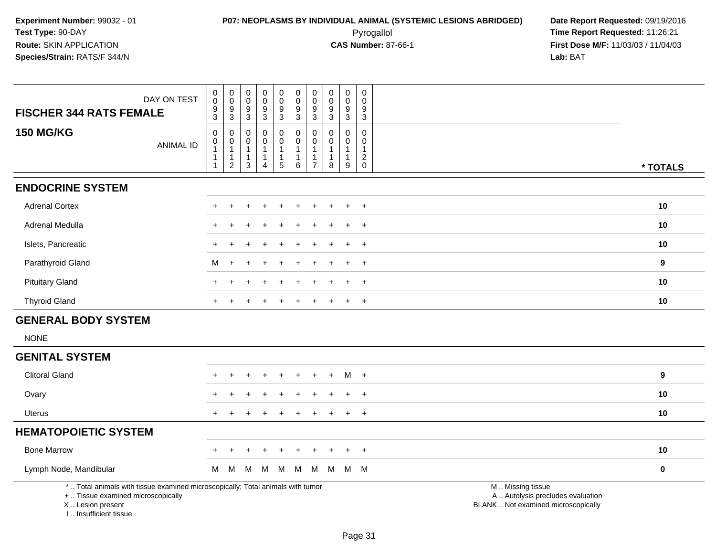**First Dose M/F:** 11/03/03 / 11/04/03<br>**Lab:** BAT **Lab:** BAT

| <b>FISCHER 344 RATS FEMALE</b>                                                                                                             | DAY ON TEST      | 0<br>0<br>9<br>3                   | $\pmb{0}$<br>$\ddot{\mathbf{0}}$<br>$9\,$<br>3                                 | 0<br>0<br>9<br>3                                      | $\pmb{0}$<br>$\pmb{0}$<br>9<br>3                                             | $\mathsf 0$<br>$\ddot{\mathbf{0}}$<br>$\boldsymbol{9}$<br>3      | $\pmb{0}$<br>$\ddot{\mathbf{0}}$<br>$\boldsymbol{9}$<br>3                     | $\pmb{0}$<br>$\mathbf 0$<br>$\boldsymbol{9}$<br>$\mathbf{3}$                | $\pmb{0}$<br>$\pmb{0}$<br>9<br>3                                  | $\mathbf 0$<br>$\mathbf 0$<br>$9\,$<br>3                             | $\pmb{0}$<br>$\mathbf 0$<br>$9\,$<br>3                                       |                                                                                               |          |
|--------------------------------------------------------------------------------------------------------------------------------------------|------------------|------------------------------------|--------------------------------------------------------------------------------|-------------------------------------------------------|------------------------------------------------------------------------------|------------------------------------------------------------------|-------------------------------------------------------------------------------|-----------------------------------------------------------------------------|-------------------------------------------------------------------|----------------------------------------------------------------------|------------------------------------------------------------------------------|-----------------------------------------------------------------------------------------------|----------|
| <b>150 MG/KG</b>                                                                                                                           | <b>ANIMAL ID</b> | 0<br>0<br>$\overline{1}$<br>1<br>1 | $\mathbf 0$<br>$\mathbf 0$<br>$\overline{1}$<br>$\mathbf{1}$<br>$\overline{2}$ | $\mathbf 0$<br>0<br>$\mathbf{1}$<br>$\mathbf{1}$<br>3 | $\mathbf 0$<br>$\mathbf 0$<br>$\mathbf{1}$<br>$\mathbf{1}$<br>$\overline{4}$ | $\mathbf 0$<br>$\mathsf{O}$<br>$\mathbf{1}$<br>$\mathbf{1}$<br>5 | $\mathbf 0$<br>$\mathsf{O}\xspace$<br>$\mathbf{1}$<br>$\mathbf{1}$<br>$\,6\,$ | $\mathbf 0$<br>$\pmb{0}$<br>$\overline{1}$<br>$\mathbf 1$<br>$\overline{7}$ | $\mathbf 0$<br>$\mathbf 0$<br>$\overline{1}$<br>$\mathbf{1}$<br>8 | $\mathbf 0$<br>0<br>$\mathbf{1}$<br>$\mathbf{1}$<br>$\boldsymbol{9}$ | $\mathbf 0$<br>$\mathbf 0$<br>$\mathbf{1}$<br>$\sqrt{2}$<br>$\boldsymbol{0}$ |                                                                                               | * TOTALS |
| <b>ENDOCRINE SYSTEM</b>                                                                                                                    |                  |                                    |                                                                                |                                                       |                                                                              |                                                                  |                                                                               |                                                                             |                                                                   |                                                                      |                                                                              |                                                                                               |          |
| <b>Adrenal Cortex</b>                                                                                                                      |                  |                                    |                                                                                |                                                       |                                                                              |                                                                  |                                                                               |                                                                             |                                                                   |                                                                      | $+$                                                                          |                                                                                               | 10       |
| Adrenal Medulla                                                                                                                            |                  | $\ddot{}$                          |                                                                                |                                                       |                                                                              |                                                                  |                                                                               |                                                                             |                                                                   | $\pm$                                                                | $+$                                                                          |                                                                                               | 10       |
| Islets, Pancreatic                                                                                                                         |                  |                                    |                                                                                |                                                       |                                                                              |                                                                  |                                                                               |                                                                             |                                                                   |                                                                      | $\overline{+}$                                                               |                                                                                               | 10       |
| Parathyroid Gland                                                                                                                          |                  | м                                  |                                                                                |                                                       |                                                                              |                                                                  |                                                                               |                                                                             |                                                                   |                                                                      | $\overline{+}$                                                               |                                                                                               | 9        |
| <b>Pituitary Gland</b>                                                                                                                     |                  | $+$                                |                                                                                |                                                       |                                                                              | $\div$                                                           | $\ddot{}$                                                                     |                                                                             |                                                                   | $\pm$                                                                | $+$                                                                          |                                                                                               | 10       |
| <b>Thyroid Gland</b>                                                                                                                       |                  |                                    |                                                                                |                                                       |                                                                              |                                                                  |                                                                               |                                                                             |                                                                   |                                                                      | $+$                                                                          |                                                                                               | 10       |
| <b>GENERAL BODY SYSTEM</b>                                                                                                                 |                  |                                    |                                                                                |                                                       |                                                                              |                                                                  |                                                                               |                                                                             |                                                                   |                                                                      |                                                                              |                                                                                               |          |
| <b>NONE</b>                                                                                                                                |                  |                                    |                                                                                |                                                       |                                                                              |                                                                  |                                                                               |                                                                             |                                                                   |                                                                      |                                                                              |                                                                                               |          |
| <b>GENITAL SYSTEM</b>                                                                                                                      |                  |                                    |                                                                                |                                                       |                                                                              |                                                                  |                                                                               |                                                                             |                                                                   |                                                                      |                                                                              |                                                                                               |          |
| <b>Clitoral Gland</b>                                                                                                                      |                  |                                    |                                                                                |                                                       |                                                                              |                                                                  |                                                                               |                                                                             |                                                                   | м                                                                    | $+$                                                                          |                                                                                               | 9        |
| Ovary                                                                                                                                      |                  |                                    |                                                                                |                                                       |                                                                              |                                                                  |                                                                               |                                                                             |                                                                   |                                                                      | $+$                                                                          |                                                                                               | 10       |
| Uterus                                                                                                                                     |                  |                                    |                                                                                |                                                       |                                                                              |                                                                  |                                                                               |                                                                             |                                                                   | $\pm$                                                                | $+$                                                                          |                                                                                               | 10       |
| <b>HEMATOPOIETIC SYSTEM</b>                                                                                                                |                  |                                    |                                                                                |                                                       |                                                                              |                                                                  |                                                                               |                                                                             |                                                                   |                                                                      |                                                                              |                                                                                               |          |
| <b>Bone Marrow</b>                                                                                                                         |                  | +                                  |                                                                                |                                                       |                                                                              | $\div$                                                           | $\ddot{}$                                                                     |                                                                             |                                                                   | $\pm$                                                                | $^{+}$                                                                       |                                                                                               | 10       |
| Lymph Node, Mandibular                                                                                                                     |                  | M                                  | M                                                                              | M                                                     | M                                                                            | M                                                                | M                                                                             | M                                                                           | M                                                                 |                                                                      | M M                                                                          |                                                                                               | 0        |
| *  Total animals with tissue examined microscopically; Total animals with tumor<br>+  Tissue examined microscopically<br>X  Lesion present |                  |                                    |                                                                                |                                                       |                                                                              |                                                                  |                                                                               |                                                                             |                                                                   |                                                                      |                                                                              | M  Missing tissue<br>A  Autolysis precludes evaluation<br>BLANK  Not examined microscopically |          |

X .. Lesion present

I .. Insufficient tissue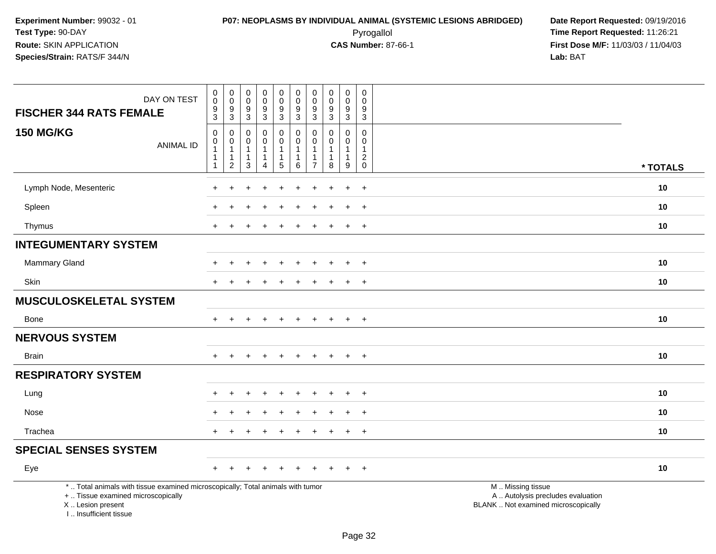| DAY ON TEST<br><b>FISCHER 344 RATS FEMALE</b>                                                                                                                         | $\pmb{0}$<br>$\pmb{0}$<br>$\boldsymbol{9}$<br>$\overline{3}$                 | $\pmb{0}$<br>$\mathbf 0$<br>$\boldsymbol{9}$<br>$\mathsf 3$      | $\pmb{0}$<br>$\mathbf 0$<br>$\boldsymbol{9}$<br>$\mathbf{3}$ | $\pmb{0}$<br>$\frac{0}{9}$                            | $\mathsf 0$<br>$\mathbf 0$<br>$\frac{9}{3}$                          | $\pmb{0}$<br>$\mathsf 0$<br>$\boldsymbol{9}$<br>$\overline{3}$  | $\pmb{0}$<br>$\mathbf 0$<br>9<br>3 | $\pmb{0}$<br>$\pmb{0}$<br>$\boldsymbol{9}$<br>$\overline{3}$    | $\pmb{0}$<br>$\mathbf 0$<br>9<br>$\mathbf{3}$                   | $\mathsf 0$<br>$\mathbf 0$<br>$\boldsymbol{9}$<br>$\overline{3}$ |                                                                                               |          |
|-----------------------------------------------------------------------------------------------------------------------------------------------------------------------|------------------------------------------------------------------------------|------------------------------------------------------------------|--------------------------------------------------------------|-------------------------------------------------------|----------------------------------------------------------------------|-----------------------------------------------------------------|------------------------------------|-----------------------------------------------------------------|-----------------------------------------------------------------|------------------------------------------------------------------|-----------------------------------------------------------------------------------------------|----------|
| <b>150 MG/KG</b><br><b>ANIMAL ID</b>                                                                                                                                  | $\mathbf 0$<br>$\pmb{0}$<br>$\mathbf{1}$<br>$\overline{1}$<br>$\overline{1}$ | 0<br>$\pmb{0}$<br>$\mathbf{1}$<br>$\mathbf{1}$<br>$\overline{c}$ | 0<br>$\mathbf 0$<br>$\mathbf{1}$<br>$\overline{1}$<br>3      | 0<br>$\mathbf 0$<br>$\mathbf{1}$<br>$\mathbf{1}$<br>4 | $\pmb{0}$<br>$\overline{0}$<br>$\mathbf{1}$<br>$\mathbf{1}$<br>$5\,$ | $\mathbf 0$<br>$\pmb{0}$<br>$\mathbf{1}$<br>$\overline{1}$<br>6 | 0<br>$\Omega$<br>$\overline{7}$    | $\mathbf 0$<br>$\mathbf 0$<br>$\mathbf{1}$<br>$\mathbf{1}$<br>8 | $\mathbf 0$<br>$\mathbf 0$<br>$\mathbf{1}$<br>$\mathbf{1}$<br>9 | 0<br>$\mathbf 0$<br>$\mathbf{1}$<br>$^2_{\rm 0}$                 |                                                                                               | * TOTALS |
| Lymph Node, Mesenteric                                                                                                                                                |                                                                              |                                                                  |                                                              |                                                       |                                                                      |                                                                 |                                    |                                                                 |                                                                 | $\ddot{}$                                                        |                                                                                               | 10       |
| Spleen                                                                                                                                                                |                                                                              |                                                                  |                                                              |                                                       |                                                                      |                                                                 |                                    |                                                                 |                                                                 | $\div$                                                           |                                                                                               | 10       |
| Thymus                                                                                                                                                                | $\pm$                                                                        |                                                                  |                                                              |                                                       |                                                                      |                                                                 |                                    |                                                                 | $\overline{+}$                                                  | $+$                                                              |                                                                                               | 10       |
| <b>INTEGUMENTARY SYSTEM</b>                                                                                                                                           |                                                                              |                                                                  |                                                              |                                                       |                                                                      |                                                                 |                                    |                                                                 |                                                                 |                                                                  |                                                                                               |          |
| Mammary Gland                                                                                                                                                         |                                                                              | ÷.                                                               |                                                              | $\ddot{}$                                             | $\div$                                                               |                                                                 |                                    |                                                                 | $\ddot{}$                                                       | $+$                                                              |                                                                                               | 10       |
| Skin                                                                                                                                                                  |                                                                              |                                                                  |                                                              |                                                       |                                                                      |                                                                 |                                    |                                                                 |                                                                 | $\overline{ }$                                                   |                                                                                               | 10       |
| MUSCULOSKELETAL SYSTEM                                                                                                                                                |                                                                              |                                                                  |                                                              |                                                       |                                                                      |                                                                 |                                    |                                                                 |                                                                 |                                                                  |                                                                                               |          |
| <b>Bone</b>                                                                                                                                                           | $+$                                                                          | $+$                                                              | $\ddot{}$                                                    | $+$                                                   | $+$                                                                  | $\ddot{}$                                                       | $+$                                | $+$                                                             | $+$                                                             | $+$                                                              |                                                                                               | 10       |
| <b>NERVOUS SYSTEM</b>                                                                                                                                                 |                                                                              |                                                                  |                                                              |                                                       |                                                                      |                                                                 |                                    |                                                                 |                                                                 |                                                                  |                                                                                               |          |
| <b>Brain</b>                                                                                                                                                          | $\div$                                                                       | ÷.                                                               |                                                              | <b>+</b>                                              | $\ddot{}$                                                            | $\overline{1}$                                                  | $\ddot{}$                          | $\ddot{}$                                                       | $+$                                                             | $+$                                                              |                                                                                               | 10       |
| <b>RESPIRATORY SYSTEM</b>                                                                                                                                             |                                                                              |                                                                  |                                                              |                                                       |                                                                      |                                                                 |                                    |                                                                 |                                                                 |                                                                  |                                                                                               |          |
| Lung                                                                                                                                                                  |                                                                              |                                                                  |                                                              |                                                       |                                                                      |                                                                 |                                    |                                                                 |                                                                 | $\ddot{}$                                                        |                                                                                               | 10       |
| Nose                                                                                                                                                                  |                                                                              |                                                                  |                                                              |                                                       |                                                                      |                                                                 |                                    |                                                                 | $\div$                                                          | $\overline{+}$                                                   |                                                                                               | 10       |
| Trachea                                                                                                                                                               | $+$                                                                          |                                                                  |                                                              |                                                       |                                                                      |                                                                 |                                    |                                                                 | $\ddot{}$                                                       | $+$                                                              |                                                                                               | 10       |
| <b>SPECIAL SENSES SYSTEM</b>                                                                                                                                          |                                                                              |                                                                  |                                                              |                                                       |                                                                      |                                                                 |                                    |                                                                 |                                                                 |                                                                  |                                                                                               |          |
| Eye                                                                                                                                                                   |                                                                              |                                                                  |                                                              |                                                       |                                                                      |                                                                 |                                    |                                                                 |                                                                 | $\div$                                                           |                                                                                               | 10       |
| *  Total animals with tissue examined microscopically; Total animals with tumor<br>+  Tissue examined microscopically<br>X  Lesion present<br>I., Insufficient tissue |                                                                              |                                                                  |                                                              |                                                       |                                                                      |                                                                 |                                    |                                                                 |                                                                 |                                                                  | M  Missing tissue<br>A  Autolysis precludes evaluation<br>BLANK  Not examined microscopically |          |